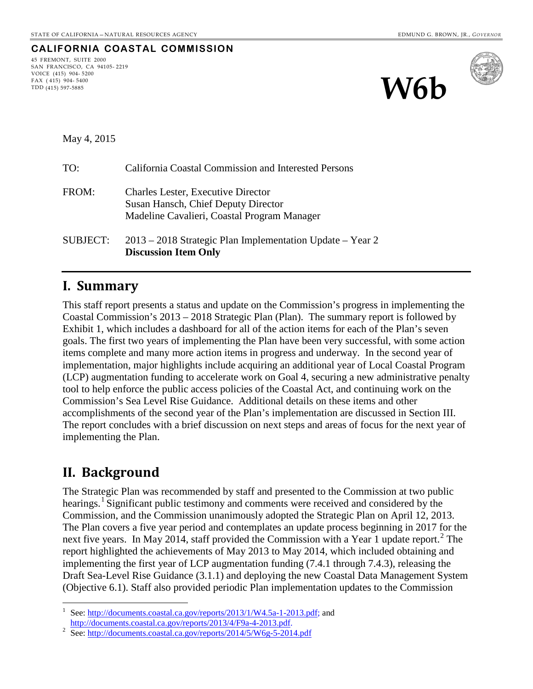### **CALIFORNIA COASTAL COMMISSION**

45 FREMONT, SUITE 2000 SAN FRANCISCO, CA 94105- 2219 VOICE (415) 904- 5200 FAX ( 415) 904- 5400 TDD (415) 597-5885





May 4, 2015

| TO:             | California Coastal Commission and Interested Persons                                                                            |
|-----------------|---------------------------------------------------------------------------------------------------------------------------------|
| FROM:           | <b>Charles Lester, Executive Director</b><br>Susan Hansch, Chief Deputy Director<br>Madeline Cavalieri, Coastal Program Manager |
| <b>SUBJECT:</b> | 2013 – 2018 Strategic Plan Implementation Update – Year 2<br><b>Discussion Item Only</b>                                        |

### **I. Summary**

This staff report presents a status and update on the Commission's progress in implementing the Coastal Commission's 2013 – 2018 Strategic Plan (Plan). The summary report is followed by [Exhibit 1](#page-12-0), which includes a dashboard for all of the action items for each of the Plan's seven goals. The first two years of implementing the Plan have been very successful, with some action items complete and many more action items in progress and underway. In the second year of implementation, major highlights include acquiring an additional year of Local Coastal Program (LCP) augmentation funding to accelerate work on Goal 4, securing a new administrative penalty tool to help enforce the public access policies of the Coastal Act, and continuing work on the Commission's Sea Level Rise Guidance. Additional details on these items and other accomplishments of the second year of the Plan's implementation are discussed in Section III. The report concludes with a brief discussion on next steps and areas of focus for the next year of implementing the Plan.

# **II. Background**

 $\overline{a}$ 

The Strategic Plan was recommended by staff and presented to the Commission at two public hearings.<sup>[1](#page-0-0)</sup> Significant public testimony and comments were received and considered by the Commission, and the Commission unanimously adopted the Strategic Plan on April 12, 2013. The Plan covers a five year period and contemplates an update process beginning in 2017 for the next five years. In May [2](#page-0-1)014, staff provided the Commission with a Year 1 update report.<sup>2</sup> The report highlighted the achievements of May 2013 to May 2014, which included obtaining and implementing the first year of LCP augmentation funding (7.4.1 through 7.4.3), releasing the Draft Sea-Level Rise Guidance (3.1.1) and deploying the new Coastal Data Management System (Objective 6.1). Staff also provided periodic Plan implementation updates to the Commission

<span id="page-0-0"></span><sup>1</sup> See: [http://documents.coastal.ca.gov/reports/2013/1/W4.5a-1-2013.pdf;](http://documents.coastal.ca.gov/reports/2013/1/W4.5a-1-2013.pdf) and [http://documents.coastal.ca.gov/reports/2013/4/F9a-4-2013.pdf.](http://documents.coastal.ca.gov/reports/2013/4/F9a-4-2013.pdf) 2

<span id="page-0-1"></span><sup>&</sup>lt;sup>2</sup> See[: http://documents.coastal.ca.gov/reports/2014/5/W6g-5-2014.pdf](http://documents.coastal.ca.gov/reports/2014/5/W6g-5-2014.pdf)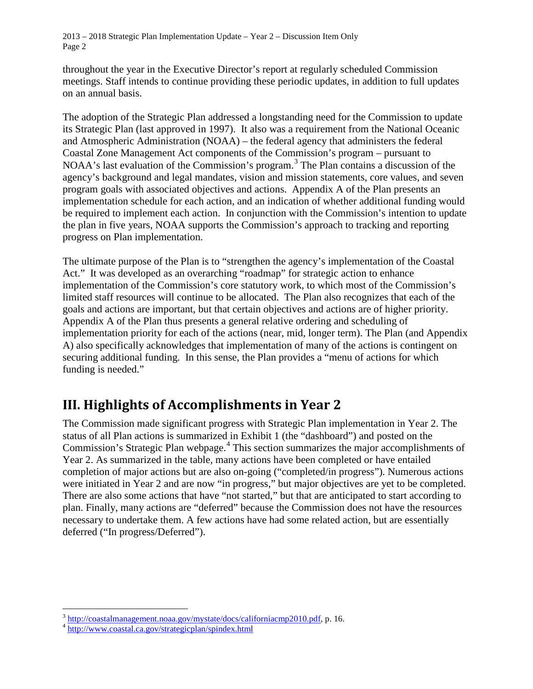throughout the year in the Executive Director's report at regularly scheduled Commission meetings. Staff intends to continue providing these periodic updates, in addition to full updates on an annual basis.

The adoption of the Strategic Plan addressed a longstanding need for the Commission to update its Strategic Plan (last approved in 1997). It also was a requirement from the National Oceanic and Atmospheric Administration (NOAA) – the federal agency that administers the federal Coastal Zone Management Act components of the Commission's program – pursuant to NOAA's last evaluation of the Commission's program.<sup>[3](#page-1-0)</sup> The Plan contains a discussion of the agency's background and legal mandates, vision and mission statements, core values, and seven program goals with associated objectives and actions. Appendix A of the Plan presents an implementation schedule for each action, and an indication of whether additional funding would be required to implement each action. In conjunction with the Commission's intention to update the plan in five years, NOAA supports the Commission's approach to tracking and reporting progress on Plan implementation.

The ultimate purpose of the Plan is to "strengthen the agency's implementation of the Coastal Act." It was developed as an overarching "roadmap" for strategic action to enhance implementation of the Commission's core statutory work, to which most of the Commission's limited staff resources will continue to be allocated. The Plan also recognizes that each of the goals and actions are important, but that certain objectives and actions are of higher priority. Appendix A of the Plan thus presents a general relative ordering and scheduling of implementation priority for each of the actions (near, mid, longer term). The Plan (and Appendix A) also specifically acknowledges that implementation of many of the actions is contingent on securing additional funding. In this sense, the Plan provides a "menu of actions for which funding is needed."

# **III. Highlights of Accomplishments in Year 2**

The Commission made significant progress with Strategic Plan implementation in Year 2. The status of all Plan actions is summarized in [Exhibit 1](#page-12-0) (the "dashboard") and posted on the Commission's Strategic Plan webpage.<sup>[4](#page-1-1)</sup> This section summarizes the major accomplishments of Year 2. As summarized in the table, many actions have been completed or have entailed completion of major actions but are also on-going ("completed/in progress"). Numerous actions were initiated in Year 2 and are now "in progress," but major objectives are yet to be completed. There are also some actions that have "not started," but that are anticipated to start according to plan. Finally, many actions are "deferred" because the Commission does not have the resources necessary to undertake them. A few actions have had some related action, but are essentially deferred ("In progress/Deferred").

 $\overline{a}$ 

<span id="page-1-0"></span><sup>&</sup>lt;sup>3</sup> [http://coastalmanagement.noaa.gov/mystate/docs/californiacmp2010.pdf,](http://coastalmanagement.noaa.gov/mystate/docs/californiacmp2010.pdf) p. 16.<br><sup>4</sup> <http://www.coastal.ca.gov/strategicplan/spindex.html>

<span id="page-1-1"></span>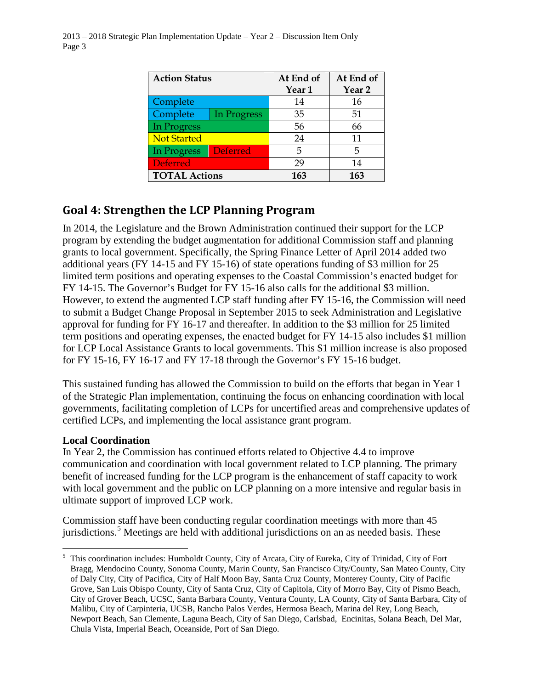| <b>Action Status</b> |                 | At End of         | At End of         |
|----------------------|-----------------|-------------------|-------------------|
|                      |                 | Year <sub>1</sub> | Year <sub>2</sub> |
| Complete             |                 | 14                | 16                |
| Complete             | In Progress     | 35                | 51                |
| In Progress          |                 | 56                | 66                |
| <b>Not Started</b>   |                 | 24                | 11                |
| In Progress          | <b>Deferred</b> | 5                 | 5                 |
| <b>Deferred</b>      |                 | 29                | 14                |
| <b>TOTAL Actions</b> |                 | 163               | 163               |

### **Goal 4: Strengthen the LCP Planning Program**

In 2014, the Legislature and the Brown Administration continued their support for the LCP program by extending the budget augmentation for additional Commission staff and planning grants to local government. Specifically, the Spring Finance Letter of April 2014 added two additional years (FY 14-15 and FY 15-16) of state operations funding of \$3 million for 25 limited term positions and operating expenses to the Coastal Commission's enacted budget for FY 14-15. The Governor's Budget for FY 15-16 also calls for the additional \$3 million. However, to extend the augmented LCP staff funding after FY 15-16, the Commission will need to submit a Budget Change Proposal in September 2015 to seek Administration and Legislative approval for funding for FY 16-17 and thereafter. In addition to the \$3 million for 25 limited term positions and operating expenses, the enacted budget for FY 14-15 also includes \$1 million for LCP Local Assistance Grants to local governments. This \$1 million increase is also proposed for FY 15-16, FY 16-17 and FY 17-18 through the Governor's FY 15-16 budget.

This sustained funding has allowed the Commission to build on the efforts that began in Year 1 of the Strategic Plan implementation, continuing the focus on enhancing coordination with local governments, facilitating completion of LCPs for uncertified areas and comprehensive updates of certified LCPs, and implementing the local assistance grant program.

#### **Local Coordination**

 $\overline{a}$ 

In Year 2, the Commission has continued efforts related to Objective 4.4 to improve communication and coordination with local government related to LCP planning. The primary benefit of increased funding for the LCP program is the enhancement of staff capacity to work with local government and the public on LCP planning on a more intensive and regular basis in ultimate support of improved LCP work.

Commission staff have been conducting regular coordination meetings with more than 45 jurisdictions.<sup>[5](#page-2-0)</sup> Meetings are held with additional jurisdictions on an as needed basis. These

<span id="page-2-0"></span><sup>&</sup>lt;sup>5</sup> This coordination includes: Humboldt County, City of Arcata, City of Eureka, City of Trinidad, City of Fort Bragg, Mendocino County, Sonoma County, Marin County, San Francisco City/County, San Mateo County, City of Daly City, City of Pacifica, City of Half Moon Bay, Santa Cruz County, Monterey County, City of Pacific Grove, San Luis Obispo County, City of Santa Cruz, City of Capitola, City of Morro Bay, City of Pismo Beach, City of Grover Beach, UCSC, Santa Barbara County, Ventura County, LA County, City of Santa Barbara, City of Malibu, City of Carpinteria, UCSB, Rancho Palos Verdes, Hermosa Beach, Marina del Rey, Long Beach, Newport Beach, San Clemente, Laguna Beach, City of San Diego, Carlsbad, Encinitas, Solana Beach, Del Mar, Chula Vista, Imperial Beach, Oceanside, Port of San Diego.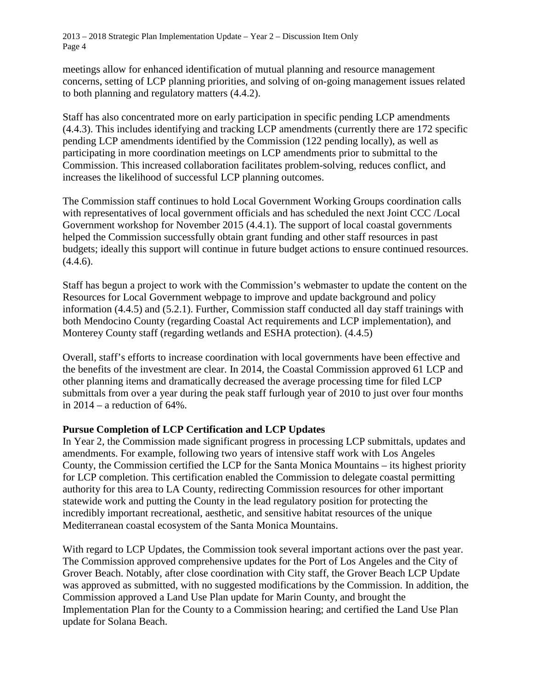meetings allow for enhanced identification of mutual planning and resource management concerns, setting of LCP planning priorities, and solving of on-going management issues related to both planning and regulatory matters (4.4.2).

Staff has also concentrated more on early participation in specific pending LCP amendments (4.4.3). This includes identifying and tracking LCP amendments (currently there are 172 specific pending LCP amendments identified by the Commission (122 pending locally), as well as participating in more coordination meetings on LCP amendments prior to submittal to the Commission. This increased collaboration facilitates problem-solving, reduces conflict, and increases the likelihood of successful LCP planning outcomes.

The Commission staff continues to hold Local Government Working Groups coordination calls with representatives of local government officials and has scheduled the next Joint CCC /Local Government workshop for November 2015 (4.4.1). The support of local coastal governments helped the Commission successfully obtain grant funding and other staff resources in past budgets; ideally this support will continue in future budget actions to ensure continued resources.  $(4.4.6).$ 

Staff has begun a project to work with the Commission's webmaster to update the content on the Resources for Local Government webpage to improve and update background and policy information (4.4.5) and (5.2.1). Further, Commission staff conducted all day staff trainings with both Mendocino County (regarding Coastal Act requirements and LCP implementation), and Monterey County staff (regarding wetlands and ESHA protection). (4.4.5)

Overall, staff's efforts to increase coordination with local governments have been effective and the benefits of the investment are clear. In 2014, the Coastal Commission approved 61 LCP and other planning items and dramatically decreased the average processing time for filed LCP submittals from over a year during the peak staff furlough year of 2010 to just over four months in  $2014 - a$  reduction of  $64\%$ .

#### **Pursue Completion of LCP Certification and LCP Updates**

In Year 2, the Commission made significant progress in processing LCP submittals, updates and amendments. For example, following two years of intensive staff work with Los Angeles County, the Commission certified the LCP for the Santa Monica Mountains – its highest priority for LCP completion. This certification enabled the Commission to delegate coastal permitting authority for this area to LA County, redirecting Commission resources for other important statewide work and putting the County in the lead regulatory position for protecting the incredibly important recreational, aesthetic, and sensitive habitat resources of the unique Mediterranean coastal ecosystem of the Santa Monica Mountains.

With regard to LCP Updates, the Commission took several important actions over the past year. The Commission approved comprehensive updates for the Port of Los Angeles and the City of Grover Beach. Notably, after close coordination with City staff, the Grover Beach LCP Update was approved as submitted, with no suggested modifications by the Commission. In addition, the Commission approved a Land Use Plan update for Marin County, and brought the Implementation Plan for the County to a Commission hearing; and certified the Land Use Plan update for Solana Beach.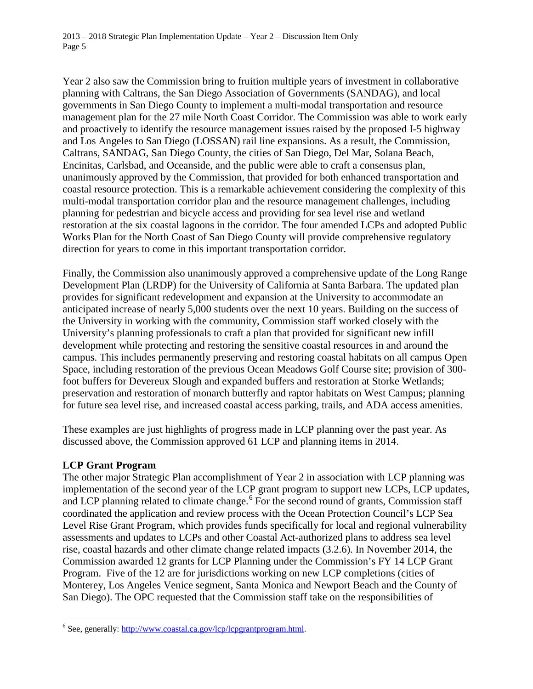Year 2 also saw the Commission bring to fruition multiple years of investment in collaborative planning with Caltrans, the San Diego Association of Governments (SANDAG), and local governments in San Diego County to implement a multi-modal transportation and resource management plan for the 27 mile North Coast Corridor. The Commission was able to work early and proactively to identify the resource management issues raised by the proposed I-5 highway and Los Angeles to San Diego (LOSSAN) rail line expansions. As a result, the Commission, Caltrans, SANDAG, San Diego County, the cities of San Diego, Del Mar, Solana Beach, Encinitas, Carlsbad, and Oceanside, and the public were able to craft a consensus plan, unanimously approved by the Commission, that provided for both enhanced transportation and coastal resource protection. This is a remarkable achievement considering the complexity of this multi-modal transportation corridor plan and the resource management challenges, including planning for pedestrian and bicycle access and providing for sea level rise and wetland restoration at the six coastal lagoons in the corridor. The four amended LCPs and adopted Public Works Plan for the North Coast of San Diego County will provide comprehensive regulatory direction for years to come in this important transportation corridor.

Finally, the Commission also unanimously approved a comprehensive update of the Long Range Development Plan (LRDP) for the University of California at Santa Barbara. The updated plan provides for significant redevelopment and expansion at the University to accommodate an anticipated increase of nearly 5,000 students over the next 10 years. Building on the success of the University in working with the community, Commission staff worked closely with the University's planning professionals to craft a plan that provided for significant new infill development while protecting and restoring the sensitive coastal resources in and around the campus. This includes permanently preserving and restoring coastal habitats on all campus Open Space, including restoration of the previous Ocean Meadows Golf Course site; provision of 300 foot buffers for Devereux Slough and expanded buffers and restoration at Storke Wetlands; preservation and restoration of monarch butterfly and raptor habitats on West Campus; planning for future sea level rise, and increased coastal access parking, trails, and ADA access amenities.

These examples are just highlights of progress made in LCP planning over the past year. As discussed above, the Commission approved 61 LCP and planning items in 2014.

#### **LCP Grant Program**

 $\overline{a}$ 

The other major Strategic Plan accomplishment of Year 2 in association with LCP planning was implementation of the second year of the LCP grant program to support new LCPs, LCP updates, and LCP planning related to climate change.<sup>[6](#page-4-0)</sup> For the second round of grants, Commission staff coordinated the application and review process with the Ocean Protection Council's LCP Sea Level Rise Grant Program, which provides funds specifically for local and regional vulnerability assessments and updates to LCPs and other Coastal Act-authorized plans to address sea level rise, coastal hazards and other climate change related impacts (3.2.6). In November 2014, the Commission awarded 12 grants for LCP Planning under the Commission's FY 14 LCP Grant Program. Five of the 12 are for jurisdictions working on new LCP completions (cities of Monterey, Los Angeles Venice segment, Santa Monica and Newport Beach and the County of San Diego). The OPC requested that the Commission staff take on the responsibilities of

<span id="page-4-0"></span><sup>&</sup>lt;sup>6</sup> See, generally[: http://www.coastal.ca.gov/lcp/lcpgrantprogram.html.](http://www.coastal.ca.gov/lcp/lcpgrantprogram.html)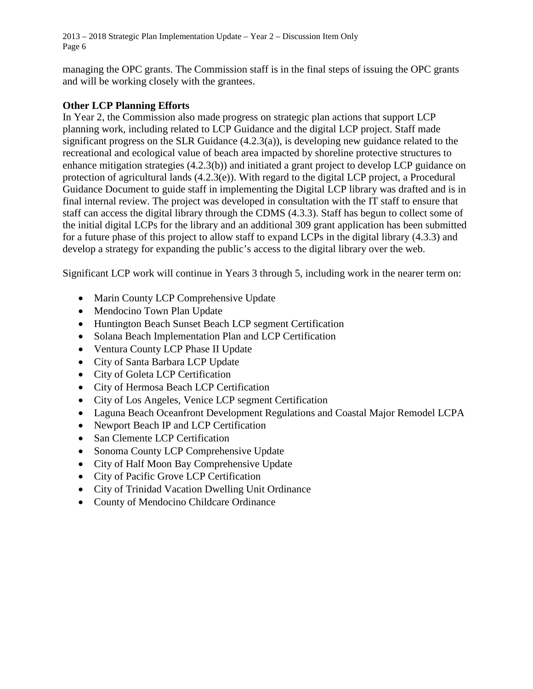managing the OPC grants. The Commission staff is in the final steps of issuing the OPC grants and will be working closely with the grantees.

#### **Other LCP Planning Efforts**

In Year 2, the Commission also made progress on strategic plan actions that support LCP planning work, including related to LCP Guidance and the digital LCP project. Staff made significant progress on the SLR Guidance  $(4.2.3(a))$ , is developing new guidance related to the recreational and ecological value of beach area impacted by shoreline protective structures to enhance mitigation strategies (4.2.3(b)) and initiated a grant project to develop LCP guidance on protection of agricultural lands (4.2.3(e)). With regard to the digital LCP project, a Procedural Guidance Document to guide staff in implementing the Digital LCP library was drafted and is in final internal review. The project was developed in consultation with the IT staff to ensure that staff can access the digital library through the CDMS (4.3.3). Staff has begun to collect some of the initial digital LCPs for the library and an additional 309 grant application has been submitted for a future phase of this project to allow staff to expand LCPs in the digital library (4.3.3) and develop a strategy for expanding the public's access to the digital library over the web.

Significant LCP work will continue in Years 3 through 5, including work in the nearer term on:

- Marin County LCP Comprehensive Update
- Mendocino Town Plan Update
- Huntington Beach Sunset Beach LCP segment Certification
- Solana Beach Implementation Plan and LCP Certification
- Ventura County LCP Phase II Update
- City of Santa Barbara LCP Update
- City of Goleta LCP Certification
- City of Hermosa Beach LCP Certification
- City of Los Angeles, Venice LCP segment Certification
- Laguna Beach Oceanfront Development Regulations and Coastal Major Remodel LCPA
- Newport Beach IP and LCP Certification
- San Clemente LCP Certification
- Sonoma County LCP Comprehensive Update
- City of Half Moon Bay Comprehensive Update
- City of Pacific Grove LCP Certification
- City of Trinidad Vacation Dwelling Unit Ordinance
- County of Mendocino Childcare Ordinance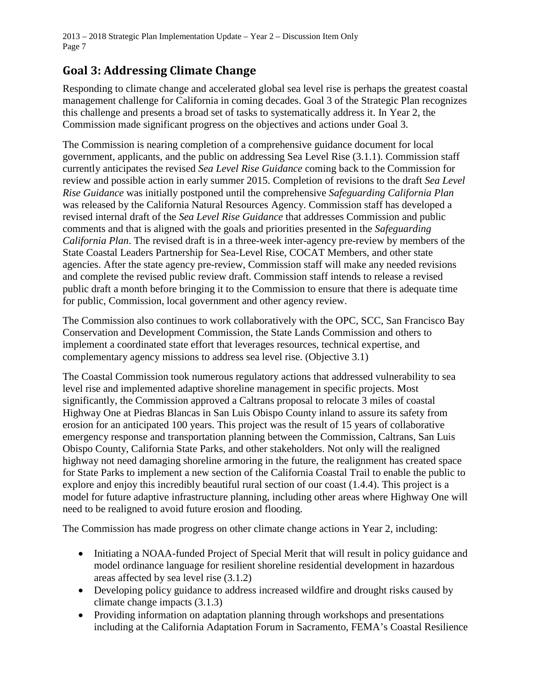# **Goal 3: Addressing Climate Change**

Responding to climate change and accelerated global sea level rise is perhaps the greatest coastal management challenge for California in coming decades. Goal 3 of the Strategic Plan recognizes this challenge and presents a broad set of tasks to systematically address it. In Year 2, the Commission made significant progress on the objectives and actions under Goal 3.

The Commission is nearing completion of a comprehensive guidance document for local government, applicants, and the public on addressing Sea Level Rise (3.1.1). Commission staff currently anticipates the revised *Sea Level Rise Guidance* coming back to the Commission for review and possible action in early summer 2015. Completion of revisions to the draft *Sea Level Rise Guidance* was initially postponed until the comprehensive *Safeguarding California Plan*  was released by the California Natural Resources Agency. Commission staff has developed a revised internal draft of the *Sea Level Rise Guidance* that addresses Commission and public comments and that is aligned with the goals and priorities presented in the *Safeguarding California Plan*. The revised draft is in a three-week inter-agency pre-review by members of the State Coastal Leaders Partnership for Sea-Level Rise, COCAT Members, and other state agencies. After the state agency pre-review, Commission staff will make any needed revisions and complete the revised public review draft. Commission staff intends to release a revised public draft a month before bringing it to the Commission to ensure that there is adequate time for public, Commission, local government and other agency review.

The Commission also continues to work collaboratively with the OPC, SCC, San Francisco Bay Conservation and Development Commission, the State Lands Commission and others to implement a coordinated state effort that leverages resources, technical expertise, and complementary agency missions to address sea level rise. (Objective 3.1)

The Coastal Commission took numerous regulatory actions that addressed vulnerability to sea level rise and implemented adaptive shoreline management in specific projects. Most significantly, the Commission approved a Caltrans proposal to relocate 3 miles of coastal Highway One at Piedras Blancas in San Luis Obispo County inland to assure its safety from erosion for an anticipated 100 years. This project was the result of 15 years of collaborative emergency response and transportation planning between the Commission, Caltrans, San Luis Obispo County, California State Parks, and other stakeholders. Not only will the realigned highway not need damaging shoreline armoring in the future, the realignment has created space for State Parks to implement a new section of the California Coastal Trail to enable the public to explore and enjoy this incredibly beautiful rural section of our coast (1.4.4). This project is a model for future adaptive infrastructure planning, including other areas where Highway One will need to be realigned to avoid future erosion and flooding.

The Commission has made progress on other climate change actions in Year 2, including:

- Initiating a NOAA-funded Project of Special Merit that will result in policy guidance and model ordinance language for resilient shoreline residential development in hazardous areas affected by sea level rise (3.1.2)
- Developing policy guidance to address increased wildfire and drought risks caused by climate change impacts (3.1.3)
- Providing information on adaptation planning through workshops and presentations including at the California Adaptation Forum in Sacramento, FEMA's Coastal Resilience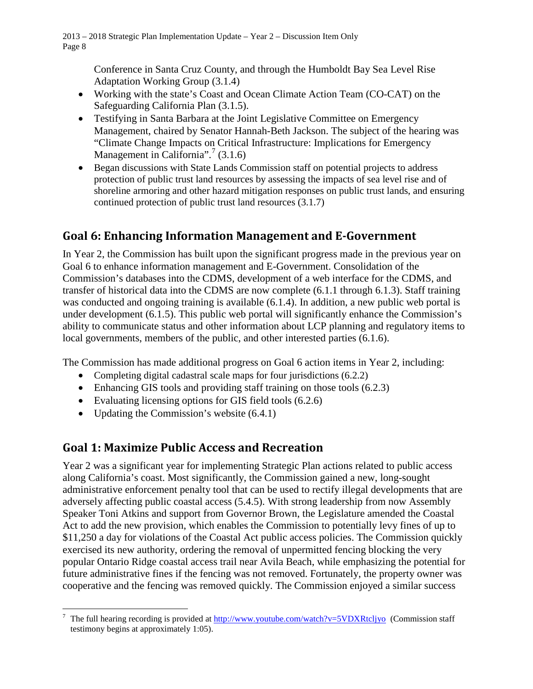Conference in Santa Cruz County, and through the Humboldt Bay Sea Level Rise Adaptation Working Group (3.1.4)

- Working with the state's Coast and Ocean Climate Action Team (CO-CAT) on the Safeguarding California Plan (3.1.5).
- Testifying in Santa Barbara at the Joint Legislative Committee on Emergency Management, chaired by Senator Hannah-Beth Jackson. The subject of the hearing was "Climate Change Impacts on Critical Infrastructure: Implications for Emergency Management in California".<sup>[7](#page-7-0)</sup> (3.1.6)
- Began discussions with State Lands Commission staff on potential projects to address protection of public trust land resources by assessing the impacts of sea level rise and of shoreline armoring and other hazard mitigation responses on public trust lands, and ensuring continued protection of public trust land resources (3.1.7)

# **Goal 6: Enhancing Information Management and E-Government**

In Year 2, the Commission has built upon the significant progress made in the previous year on Goal 6 to enhance information management and E-Government. Consolidation of the Commission's databases into the CDMS, development of a web interface for the CDMS, and transfer of historical data into the CDMS are now complete (6.1.1 through 6.1.3). Staff training was conducted and ongoing training is available (6.1.4). In addition, a new public web portal is under development (6.1.5). This public web portal will significantly enhance the Commission's ability to communicate status and other information about LCP planning and regulatory items to local governments, members of the public, and other interested parties (6.1.6).

The Commission has made additional progress on Goal 6 action items in Year 2, including:

- Completing digital cadastral scale maps for four jurisdictions (6.2.2)
- Enhancing GIS tools and providing staff training on those tools  $(6.2.3)$
- Evaluating licensing options for GIS field tools  $(6.2.6)$
- Updating the Commission's website  $(6.4.1)$

### **Goal 1: Maximize Public Access and Recreation**

Year 2 was a significant year for implementing Strategic Plan actions related to public access along California's coast. Most significantly, the Commission gained a new, long-sought administrative enforcement penalty tool that can be used to rectify illegal developments that are adversely affecting public coastal access (5.4.5). With strong leadership from now Assembly Speaker Toni Atkins and support from Governor Brown, the Legislature amended the Coastal Act to add the new provision, which enables the Commission to potentially levy fines of up to \$11,250 a day for violations of the Coastal Act public access policies. The Commission quickly exercised its new authority, ordering the removal of unpermitted fencing blocking the very popular Ontario Ridge coastal access trail near Avila Beach, while emphasizing the potential for future administrative fines if the fencing was not removed. Fortunately, the property owner was cooperative and the fencing was removed quickly. The Commission enjoyed a similar success

<span id="page-7-0"></span> $\overline{a}$ <sup>7</sup> The full hearing recording is provided a[t http://www.youtube.com/watch?v=5VDXRtcljyo](http://www.youtube.com/watch?v=5VDXRtcljyo) (Commission staff testimony begins at approximately 1:05).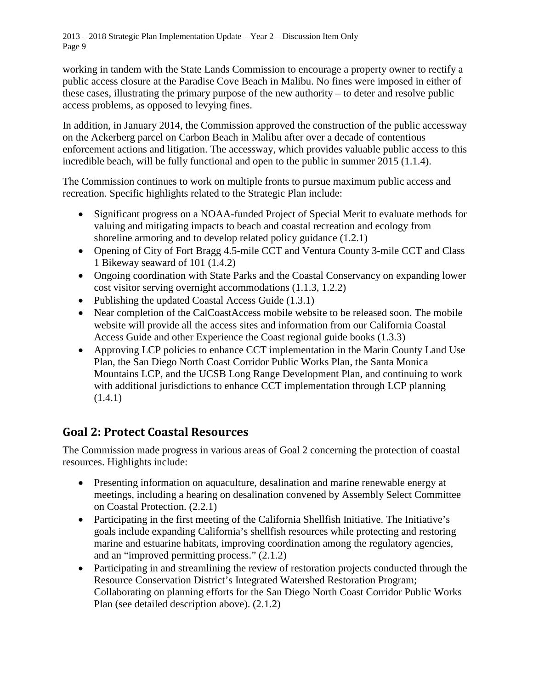working in tandem with the State Lands Commission to encourage a property owner to rectify a public access closure at the Paradise Cove Beach in Malibu. No fines were imposed in either of these cases, illustrating the primary purpose of the new authority – to deter and resolve public access problems, as opposed to levying fines.

In addition, in January 2014, the Commission approved the construction of the public accessway on the Ackerberg parcel on Carbon Beach in Malibu after over a decade of contentious enforcement actions and litigation. The accessway, which provides valuable public access to this incredible beach, will be fully functional and open to the public in summer 2015 (1.1.4).

The Commission continues to work on multiple fronts to pursue maximum public access and recreation. Specific highlights related to the Strategic Plan include:

- Significant progress on a NOAA-funded Project of Special Merit to evaluate methods for valuing and mitigating impacts to beach and coastal recreation and ecology from shoreline armoring and to develop related policy guidance (1.2.1)
- Opening of City of Fort Bragg 4.5-mile CCT and Ventura County 3-mile CCT and Class 1 Bikeway seaward of 101 (1.4.2)
- Ongoing coordination with State Parks and the Coastal Conservancy on expanding lower cost visitor serving overnight accommodations (1.1.3, 1.2.2)
- Publishing the updated Coastal Access Guide (1.3.1)
- Near completion of the CalCoastAccess mobile website to be released soon. The mobile website will provide all the access sites and information from our California Coastal Access Guide and other Experience the Coast regional guide books (1.3.3)
- Approving LCP policies to enhance CCT implementation in the Marin County Land Use Plan, the San Diego North Coast Corridor Public Works Plan, the Santa Monica Mountains LCP, and the UCSB Long Range Development Plan, and continuing to work with additional jurisdictions to enhance CCT implementation through LCP planning (1.4.1)

### **Goal 2: Protect Coastal Resources**

The Commission made progress in various areas of Goal 2 concerning the protection of coastal resources. Highlights include:

- Presenting information on aquaculture, desalination and marine renewable energy at meetings, including a hearing on desalination convened by Assembly Select Committee on Coastal Protection. (2.2.1)
- Participating in the first meeting of the California Shellfish Initiative. The Initiative's goals include expanding California's shellfish resources while protecting and restoring marine and estuarine habitats, improving coordination among the regulatory agencies, and an "improved permitting process." (2.1.2)
- Participating in and streamlining the review of restoration projects conducted through the Resource Conservation District's Integrated Watershed Restoration Program; Collaborating on planning efforts for the San Diego North Coast Corridor Public Works Plan (see detailed description above). (2.1.2)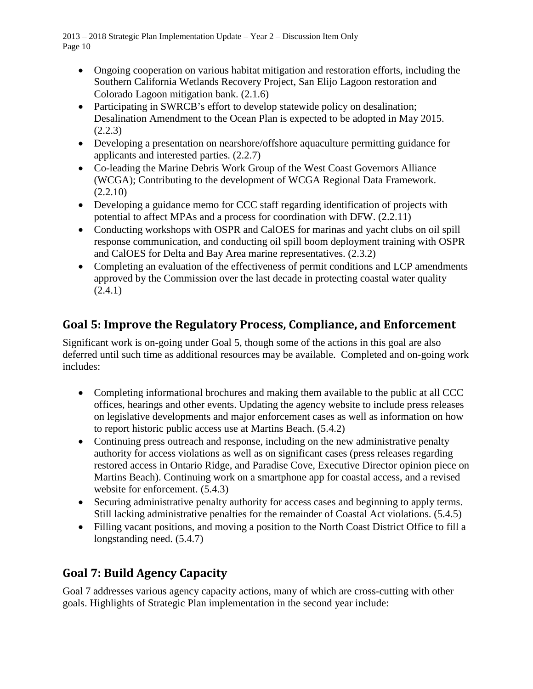- Ongoing cooperation on various habitat mitigation and restoration efforts, including the Southern California Wetlands Recovery Project, San Elijo Lagoon restoration and Colorado Lagoon mitigation bank. (2.1.6)
- Participating in SWRCB's effort to develop statewide policy on desalination; Desalination Amendment to the Ocean Plan is expected to be adopted in May 2015.  $(2.2.3)$
- Developing a presentation on nearshore/offshore aquaculture permitting guidance for applicants and interested parties. (2.2.7)
- Co-leading the Marine Debris Work Group of the West Coast Governors Alliance (WCGA); Contributing to the development of WCGA Regional Data Framework.  $(2.2.10)$
- Developing a guidance memo for CCC staff regarding identification of projects with potential to affect MPAs and a process for coordination with DFW. (2.2.11)
- Conducting workshops with OSPR and CalOES for marinas and yacht clubs on oil spill response communication, and conducting oil spill boom deployment training with OSPR and CalOES for Delta and Bay Area marine representatives. (2.3.2)
- Completing an evaluation of the effectiveness of permit conditions and LCP amendments approved by the Commission over the last decade in protecting coastal water quality (2.4.1)

# **Goal 5: Improve the Regulatory Process, Compliance, and Enforcement**

Significant work is on-going under Goal 5, though some of the actions in this goal are also deferred until such time as additional resources may be available. Completed and on-going work includes:

- Completing informational brochures and making them available to the public at all CCC offices, hearings and other events. Updating the agency website to include press releases on legislative developments and major enforcement cases as well as information on how to report historic public access use at Martins Beach. (5.4.2)
- Continuing press outreach and response, including on the new administrative penalty authority for access violations as well as on significant cases (press releases regarding restored access in Ontario Ridge, and Paradise Cove, Executive Director opinion piece on Martins Beach). Continuing work on a smartphone app for coastal access, and a revised website for enforcement.  $(5.4.3)$
- Securing administrative penalty authority for access cases and beginning to apply terms. Still lacking administrative penalties for the remainder of Coastal Act violations. (5.4.5)
- Filling vacant positions, and moving a position to the North Coast District Office to fill a longstanding need. (5.4.7)

# **Goal 7: Build Agency Capacity**

Goal 7 addresses various agency capacity actions, many of which are cross-cutting with other goals. Highlights of Strategic Plan implementation in the second year include: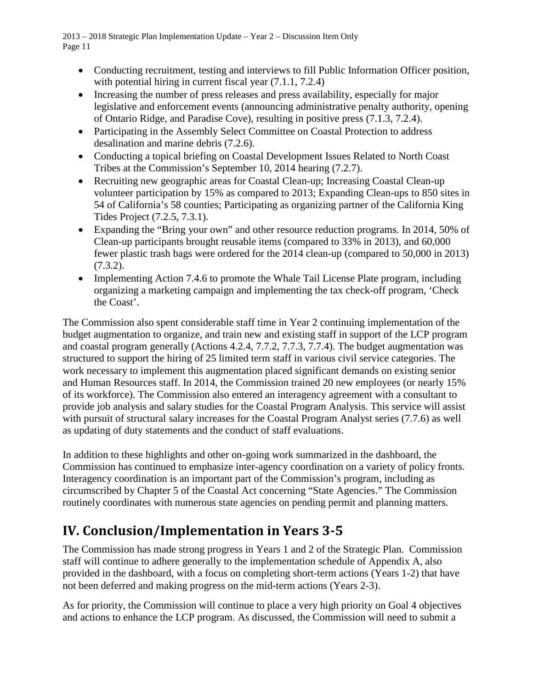- Conducting recruitment, testing and interviews to fill Public Information Officer position, with potential hiring in current fiscal year  $(7.1.1, 7.2.4)$
- Increasing the number of press releases and press availability, especially for major legislative and enforcement events (announcing administrative penalty authority, opening of Ontario Ridge, and Paradise Cove), resulting in positive press (7.1.3, 7.2.4).
- Participating in the Assembly Select Committee on Coastal Protection to address desalination and marine debris (7.2.6).
- Conducting a topical briefing on Coastal Development Issues Related to North Coast Tribes at the Commission's September 10, 2014 hearing (7.2.7).
- Recruiting new geographic areas for Coastal Clean-up; Increasing Coastal Clean-up volunteer participation by 15% as compared to 2013; Expanding Clean-ups to 850 sites in 54 of California's 58 counties; Participating as organizing partner of the California King Tides Project (7.2.5, 7.3.1).
- Expanding the "Bring your own" and other resource reduction programs. In 2014, 50% of Clean-up participants brought reusable items (compared to 33% in 2013), and 60,000 fewer plastic trash bags were ordered for the 2014 clean-up (compared to 50,000 in 2013) (7.3.2).
- Implementing Action 7.4.6 to promote the Whale Tail License Plate program, including organizing a marketing campaign and implementing the tax check-off program, 'Check the Coast'.

The Commission also spent considerable staff time in Year 2 continuing implementation of the budget augmentation to organize, and train new and existing staff in support of the LCP program and coastal program generally (Actions 4.2.4, 7.7.2, 7.7.3, 7.7.4). The budget augmentation was structured to support the hiring of 25 limited term staff in various civil service categories. The work necessary to implement this augmentation placed significant demands on existing senior and Human Resources staff. In 2014, the Commission trained 20 new employees (or nearly 15% of its workforce). The Commission also entered an interagency agreement with a consultant to provide job analysis and salary studies for the Coastal Program Analysis. This service will assist with pursuit of structural salary increases for the Coastal Program Analyst series (7.7.6) as well as updating of duty statements and the conduct of staff evaluations.

In addition to these highlights and other on-going work summarized in the dashboard, the Commission has continued to emphasize inter-agency coordination on a variety of policy fronts. Interagency coordination is an important part of the Commission's program, including as circumscribed by Chapter 5 of the Coastal Act concerning "State Agencies." The Commission routinely coordinates with numerous state agencies on pending permit and planning matters.

# **IV. Conclusion/Implementation in Years 3-5**

The Commission has made strong progress in Years 1 and 2 of the Strategic Plan. Commission staff will continue to adhere generally to the implementation schedule of Appendix A, also provided in the dashboard, with a focus on completing short-term actions (Years 1-2) that have not been deferred and making progress on the mid-term actions (Years 2-3).

As for priority, the Commission will continue to place a very high priority on Goal 4 objectives and actions to enhance the LCP program. As discussed, the Commission will need to submit a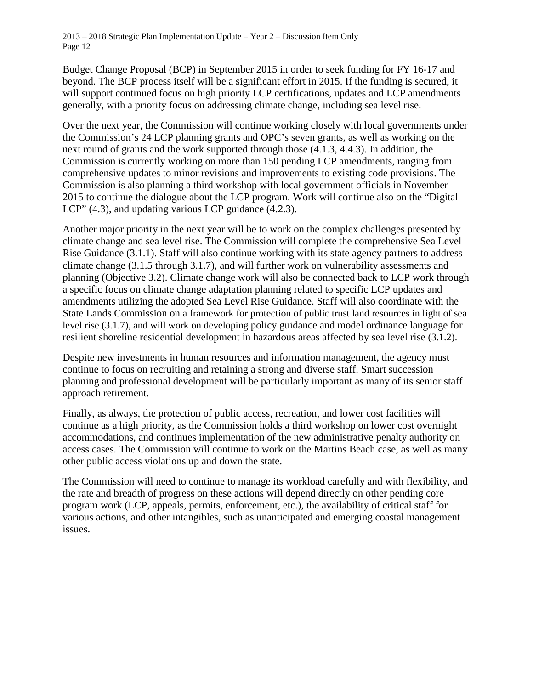Budget Change Proposal (BCP) in September 2015 in order to seek funding for FY 16-17 and beyond. The BCP process itself will be a significant effort in 2015. If the funding is secured, it will support continued focus on high priority LCP certifications, updates and LCP amendments generally, with a priority focus on addressing climate change, including sea level rise.

Over the next year, the Commission will continue working closely with local governments under the Commission's 24 LCP planning grants and OPC's seven grants, as well as working on the next round of grants and the work supported through those (4.1.3, 4.4.3). In addition, the Commission is currently working on more than 150 pending LCP amendments, ranging from comprehensive updates to minor revisions and improvements to existing code provisions. The Commission is also planning a third workshop with local government officials in November 2015 to continue the dialogue about the LCP program. Work will continue also on the "Digital LCP" (4.3), and updating various LCP guidance (4.2.3).

Another major priority in the next year will be to work on the complex challenges presented by climate change and sea level rise. The Commission will complete the comprehensive Sea Level Rise Guidance (3.1.1). Staff will also continue working with its state agency partners to address climate change (3.1.5 through 3.1.7), and will further work on vulnerability assessments and planning (Objective 3.2). Climate change work will also be connected back to LCP work through a specific focus on climate change adaptation planning related to specific LCP updates and amendments utilizing the adopted Sea Level Rise Guidance. Staff will also coordinate with the State Lands Commission on a framework for protection of public trust land resources in light of sea level rise (3.1.7), and will work on developing policy guidance and model ordinance language for resilient shoreline residential development in hazardous areas affected by sea level rise (3.1.2).

Despite new investments in human resources and information management, the agency must continue to focus on recruiting and retaining a strong and diverse staff. Smart succession planning and professional development will be particularly important as many of its senior staff approach retirement.

Finally, as always, the protection of public access, recreation, and lower cost facilities will continue as a high priority, as the Commission holds a third workshop on lower cost overnight accommodations, and continues implementation of the new administrative penalty authority on access cases. The Commission will continue to work on the Martins Beach case, as well as many other public access violations up and down the state.

The Commission will need to continue to manage its workload carefully and with flexibility, and the rate and breadth of progress on these actions will depend directly on other pending core program work (LCP, appeals, permits, enforcement, etc.), the availability of critical staff for various actions, and other intangibles, such as unanticipated and emerging coastal management issues.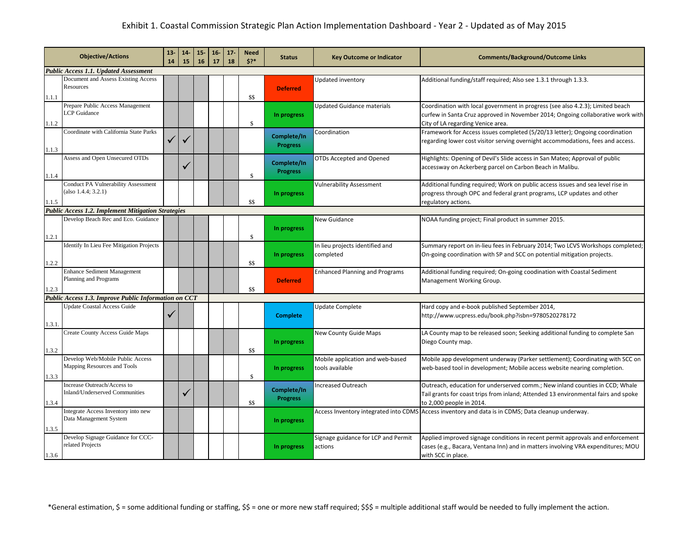<span id="page-12-0"></span>

|        | <b>Objective/Actions</b>                                                                         | $13-$<br>14 | 14<br>15     | $15 -$<br>16 | $16-$<br>17 | 17<br>18 | <b>Need</b><br>5? | <b>Status</b>   | <b>Key Outcome or Indicator</b>       | <b>Comments/Background/Outcome Links</b>                                                           |
|--------|--------------------------------------------------------------------------------------------------|-------------|--------------|--------------|-------------|----------|-------------------|-----------------|---------------------------------------|----------------------------------------------------------------------------------------------------|
|        | <b>Public Access 1.1. Updated Assessment</b>                                                     |             |              |              |             |          |                   |                 |                                       |                                                                                                    |
|        | Document and Assess Existing Access                                                              |             |              |              |             |          |                   |                 | Updated inventory                     | Additional funding/staff required; Also see 1.3.1 through 1.3.3.                                   |
|        | Resources                                                                                        |             |              |              |             |          |                   | <b>Deferred</b> |                                       |                                                                                                    |
| 1.1.1  |                                                                                                  |             |              |              |             |          | \$\$              |                 |                                       |                                                                                                    |
|        | Prepare Public Access Management                                                                 |             |              |              |             |          |                   |                 | <b>Updated Guidance materials</b>     | Coordination with local government in progress (see also 4.2.3); Limited beach                     |
|        | <b>LCP</b> Guidance                                                                              |             |              |              |             |          |                   | In progress     |                                       | curfew in Santa Cruz approved in November 2014; Ongoing collaborative work with                    |
| 1.1.2  |                                                                                                  |             |              |              |             |          | $\mathbb{S}$      |                 |                                       | City of LA regarding Venice area.                                                                  |
|        | Coordinate with California State Parks                                                           |             |              |              |             |          |                   | Complete/In     | Coordination                          | Framework for Access issues completed (5/20/13 letter); Ongoing coordination                       |
|        |                                                                                                  |             |              |              |             |          |                   | <b>Progress</b> |                                       | regarding lower cost visitor serving overnight accommodations, fees and access.                    |
| 1.1.3  |                                                                                                  |             |              |              |             |          |                   |                 |                                       |                                                                                                    |
|        | Assess and Open Unsecured OTDs                                                                   |             |              |              |             |          |                   | Complete/In     | OTDs Accepted and Opened              | Highlights: Opening of Devil's Slide access in San Mateo; Approval of public                       |
|        |                                                                                                  |             |              |              |             |          |                   | <b>Progress</b> |                                       | accessway on Ackerberg parcel on Carbon Beach in Malibu.                                           |
| 1.1.4  |                                                                                                  |             |              |              |             |          | \$                |                 |                                       |                                                                                                    |
|        | <b>Conduct PA Vulnerability Assessment</b>                                                       |             |              |              |             |          |                   |                 | <b>Vulnerability Assessment</b>       | Additional funding required; Work on public access issues and sea level rise in                    |
|        | (also 1.4.4; 3.2.1)                                                                              |             |              |              |             |          |                   | In progress     |                                       | progress through OPC and federal grant programs, LCP updates and other                             |
| 1.1.5  |                                                                                                  |             |              |              |             |          | \$\$              |                 |                                       | regulatory actions.                                                                                |
|        | <b>Public Access 1.2. Implement Mitigation Strategies</b><br>Develop Beach Rec and Eco. Guidance |             |              |              |             |          |                   |                 |                                       |                                                                                                    |
|        |                                                                                                  |             |              |              |             |          |                   |                 | New Guidance                          | NOAA funding project; Final product in summer 2015.                                                |
| 1.2.1  |                                                                                                  |             |              |              |             |          | \$                | In progress     |                                       |                                                                                                    |
|        | Identify In Lieu Fee Mitigation Projects                                                         |             |              |              |             |          |                   |                 | In lieu projects identified and       | Summary report on in-lieu fees in February 2014; Two LCVS Workshops completed;                     |
|        |                                                                                                  |             |              |              |             |          |                   | In progress     | completed                             | On-going coordination with SP and SCC on potential mitigation projects.                            |
| 1.2.2  |                                                                                                  |             |              |              |             |          | \$\$              |                 |                                       |                                                                                                    |
|        | <b>Enhance Sediment Management</b>                                                               |             |              |              |             |          |                   |                 | <b>Enhanced Planning and Programs</b> | Additional funding required; On-going coodination with Coastal Sediment                            |
|        | Planning and Programs                                                                            |             |              |              |             |          |                   | <b>Deferred</b> |                                       | Management Working Group.                                                                          |
| 1.2.3  |                                                                                                  |             |              |              |             |          | \$\$              |                 |                                       |                                                                                                    |
|        | Public Access 1.3. Improve Public Information on CCT                                             |             |              |              |             |          |                   |                 |                                       |                                                                                                    |
|        | <b>Update Coastal Access Guide</b>                                                               |             |              |              |             |          |                   |                 | Update Complete                       | Hard copy and e-book published September 2014,                                                     |
|        |                                                                                                  | ✓           |              |              |             |          |                   | <b>Complete</b> |                                       | http://www.ucpress.edu/book.php?isbn=9780520278172                                                 |
| 1.3.1. |                                                                                                  |             |              |              |             |          |                   |                 |                                       |                                                                                                    |
|        | Create County Access Guide Maps                                                                  |             |              |              |             |          |                   |                 | New County Guide Maps                 | LA County map to be released soon; Seeking additional funding to complete San                      |
|        |                                                                                                  |             |              |              |             |          |                   | In progress     |                                       | Diego County map.                                                                                  |
| 1.3.2  |                                                                                                  |             |              |              |             |          | \$\$              |                 |                                       |                                                                                                    |
|        | Develop Web/Mobile Public Access                                                                 |             |              |              |             |          |                   |                 | Mobile application and web-based      | Mobile app development underway (Parker settlement); Coordinating with SCC on                      |
|        | Mapping Resources and Tools                                                                      |             |              |              |             |          |                   | In progress     | tools available                       | web-based tool in development; Mobile access website nearing completion.                           |
| 1.3.3  |                                                                                                  |             |              |              |             |          | \$                |                 |                                       |                                                                                                    |
|        | Increase Outreach/Access to                                                                      |             |              |              |             |          |                   |                 | <b>Increased Outreach</b>             | Outreach, education for underserved comm.; New inland counties in CCD; Whale                       |
|        | Inland/Underserved Communities                                                                   |             | $\checkmark$ |              |             |          |                   | Complete/In     |                                       | Tail grants for coast trips from inland; Attended 13 environmental fairs and spoke                 |
| 1.3.4  |                                                                                                  |             |              |              |             |          | \$\$              | <b>Progress</b> |                                       | to 2,000 people in 2014.                                                                           |
|        | Integrate Access Inventory into new                                                              |             |              |              |             |          |                   |                 |                                       | Access Inventory integrated into CDMS Access inventory and data is in CDMS; Data cleanup underway. |
|        | Data Management System                                                                           |             |              |              |             |          |                   | In progress     |                                       |                                                                                                    |
| 1.3.5  |                                                                                                  |             |              |              |             |          |                   |                 |                                       |                                                                                                    |
|        | Develop Signage Guidance for CCC-                                                                |             |              |              |             |          |                   |                 | Signage guidance for LCP and Permit   | Applied improved signage conditions in recent permit approvals and enforcement                     |
|        | related Projects                                                                                 |             |              |              |             |          |                   | In progress     | actions                               | cases (e.g., Bacara, Ventana Inn) and in matters involving VRA expenditures; MOU                   |
| 1.3.6  |                                                                                                  |             |              |              |             |          |                   |                 |                                       | with SCC in place.                                                                                 |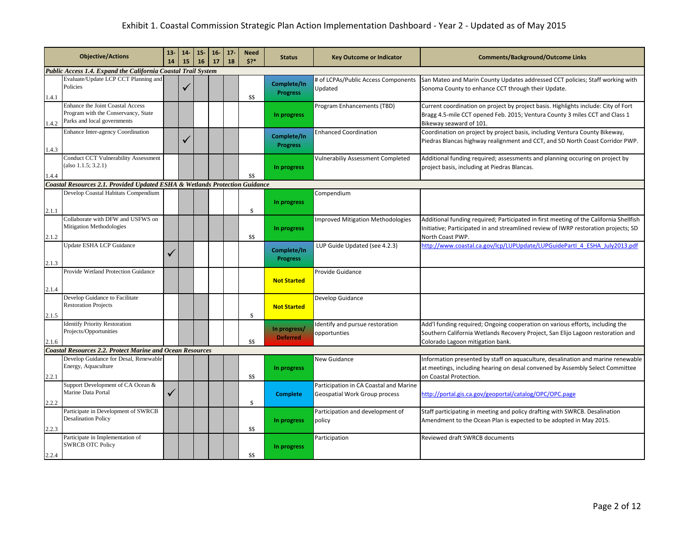|       | <b>Objective/Actions</b>                                                                                      | $13 -$<br>14 | $14-$<br>15 | $15 -$<br>16 | $16-$<br>17 | 17 <sub>2</sub><br>18 | <b>Need</b><br>$$?*$ | <b>Status</b>                   | <b>Key Outcome or Indicator</b>                                         | <b>Comments/Background/Outcome Links</b>                                                                                                                                                             |
|-------|---------------------------------------------------------------------------------------------------------------|--------------|-------------|--------------|-------------|-----------------------|----------------------|---------------------------------|-------------------------------------------------------------------------|------------------------------------------------------------------------------------------------------------------------------------------------------------------------------------------------------|
|       | Public Access 1.4. Expand the California Coastal Trail System                                                 |              |             |              |             |                       |                      |                                 |                                                                         |                                                                                                                                                                                                      |
| 1.4.1 | Evaluate/Update LCP CCT Planning and<br>Policies                                                              |              |             |              |             |                       | \$\$                 | Complete/In<br><b>Progress</b>  | # of LCPAs/Public Access Components<br>Updated                          | San Mateo and Marin County Updates addressed CCT policies; Staff working with<br>Sonoma County to enhance CCT through their Update.                                                                  |
| 1.4.2 | <b>Enhance the Joint Coastal Access</b><br>Program with the Conservancy, State<br>Parks and local governments |              |             |              |             |                       |                      | In progress                     | Program Enhancements (TBD)                                              | Current coordination on project by project basis. Highlights include: City of Fort<br>Bragg 4.5-mile CCT opened Feb. 2015; Ventura County 3 miles CCT and Class 1<br>Bikeway seaward of 101.         |
| 1.4.3 | <b>Enhance Inter-agency Coordination</b>                                                                      |              |             |              |             |                       |                      | Complete/In<br><b>Progress</b>  | <b>Enhanced Coordination</b>                                            | Coordination on project by project basis, including Ventura County Bikeway,<br>Piedras Blancas highway realignment and CCT, and SD North Coast Corridor PWP.                                         |
| 1.4.4 | <b>Conduct CCT Vulnerability Assessment</b><br>(also 1.1.5; 3.2.1)                                            |              |             |              |             |                       | \$\$                 | In progress                     | <b>Vulnerabiliy Assessment Completed</b>                                | Additional funding required; assessments and planning occuring on project by<br>project basis, including at Piedras Blancas.                                                                         |
|       | Coastal Resources 2.1. Provided Updated ESHA & Wetlands Protection Guidance                                   |              |             |              |             |                       |                      |                                 |                                                                         |                                                                                                                                                                                                      |
| 2.1.1 | Develop Coastal Habitats Compendium                                                                           |              |             |              |             |                       | \$                   | In progress                     | Compendium                                                              |                                                                                                                                                                                                      |
| 2.1.2 | Collaborate with DFW and USFWS on<br>Mitigation Methodologies                                                 |              |             |              |             |                       | \$\$                 | In progress                     | <b>Improved Mitigation Methodologies</b>                                | Additional funding required; Participated in first meeting of the California Shellfish<br>Initiative; Participated in and streamlined review of IWRP restoration projects; SD<br>North Coast PWP.    |
| 2.1.3 | Update ESHA LCP Guidance                                                                                      | $\checkmark$ |             |              |             |                       |                      | Complete/In<br><b>Progress</b>  | LUP Guide Updated (see 4.2.3)                                           | http://www.coastal.ca.gov/lcp/LUPUpdate/LUPGuidePartl 4 ESHA July2013.pdf                                                                                                                            |
| 2.1.4 | Provide Wetland Protection Guidance                                                                           |              |             |              |             |                       |                      | <b>Not Started</b>              | Provide Guidance                                                        |                                                                                                                                                                                                      |
| 2.1.5 | Develop Guidance to Facilitate<br><b>Restoration Projects</b>                                                 |              |             |              |             |                       | \$                   | <b>Not Started</b>              | Develop Guidance                                                        |                                                                                                                                                                                                      |
| 2.1.6 | <b>Identify Priority Restoration</b><br>Projects/Opportunities                                                |              |             |              |             |                       | \$\$                 | In progress/<br><b>Deferred</b> | Identify and pursue restoration<br>opportunties                         | Add'I funding required; Ongoing cooperation on various efforts, including the<br>Southern California Wetlands Recovery Project, San Elijo Lagoon restoration and<br>Colorado Lagoon mitigation bank. |
|       | <b>Coastal Resources 2.2. Protect Marine and Ocean Resources</b>                                              |              |             |              |             |                       |                      |                                 |                                                                         |                                                                                                                                                                                                      |
| 2.2.1 | Develop Guidance for Desal, Renewable<br>Energy, Aquaculture                                                  |              |             |              |             |                       | \$\$                 | In progress                     | New Guidance                                                            | Information presented by staff on aquaculture, desalination and marine renewable<br>at meetings, including hearing on desal convened by Assembly Select Committee<br>on Coastal Protection.          |
| 2.2.2 | Support Development of CA Ocean &<br>Marine Data Portal                                                       | ✓            |             |              |             |                       | \$                   | <b>Complete</b>                 | Participation in CA Coastal and Marine<br>Geospatial Work Group process | http://portal.gis.ca.gov/geoportal/catalog/OPC/OPC.page                                                                                                                                              |
| 2.2.3 | Participate in Development of SWRCB<br><b>Desalination Policy</b>                                             |              |             |              |             |                       | \$\$                 | In progress                     | Participation and development of<br>policy                              | Staff participating in meeting and policy drafting with SWRCB. Desalination<br>Amendment to the Ocean Plan is expected to be adopted in May 2015.                                                    |
| 2.2.4 | Participate in Implementation of<br><b>SWRCB OTC Policy</b>                                                   |              |             |              |             |                       | \$\$                 | In progress                     | Participation                                                           | Reviewed draft SWRCB documents                                                                                                                                                                       |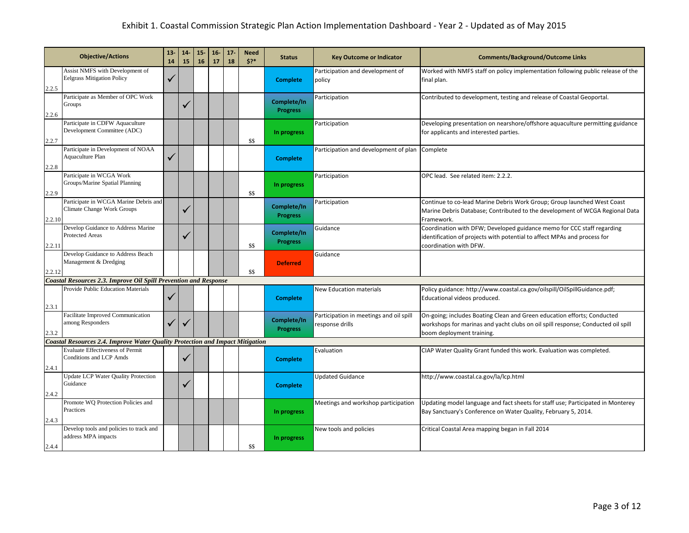|        | <b>Objective/Actions</b>                                                      |   | $14-$<br>15 | $15 -$<br>16 | $16 -$<br>17 | $17 -$<br>18 | <b>Need</b><br>$5?*$ | <b>Status</b>                  | <b>Key Outcome or Indicator</b>                            | <b>Comments/Background/Outcome Links</b>                                                                                                                                                 |
|--------|-------------------------------------------------------------------------------|---|-------------|--------------|--------------|--------------|----------------------|--------------------------------|------------------------------------------------------------|------------------------------------------------------------------------------------------------------------------------------------------------------------------------------------------|
| 2.2.5  | Assist NMFS with Development of<br><b>Eelgrass Mitigation Policy</b>          | ✓ |             |              |              |              |                      | <b>Complete</b>                | Participation and development of<br>policy                 | Worked with NMFS staff on policy implementation following public release of the<br>final plan.                                                                                           |
| 2.2.6  | Participate as Member of OPC Work<br>Groups                                   |   |             |              |              |              |                      | Complete/In<br><b>Progress</b> | Participation                                              | Contributed to development, testing and release of Coastal Geoportal.                                                                                                                    |
| 2.2.7  | Participate in CDFW Aquaculture<br>Development Committee (ADC)                |   |             |              |              |              | \$\$                 | In progress                    | Participation                                              | Developing presentation on nearshore/offshore aquaculture permitting guidance<br>for applicants and interested parties.                                                                  |
| 2.2.8  | Participate in Development of NOAA<br>Aquaculture Plan                        | ✓ |             |              |              |              |                      | <b>Complete</b>                | Participation and development of plan Complete             |                                                                                                                                                                                          |
| 2.2.9  | Participate in WCGA Work<br>Groups/Marine Spatial Planning                    |   |             |              |              |              | \$\$                 | In progress                    | Participation                                              | OPC lead. See related item: 2.2.2.                                                                                                                                                       |
| 2.2.10 | Participate in WCGA Marine Debris and<br>Climate Change Work Groups           |   |             |              |              |              |                      | Complete/In<br><b>Progress</b> | Participation                                              | Continue to co-lead Marine Debris Work Group; Group launched West Coast<br>Marine Debris Database; Contributed to the development of WCGA Regional Data<br>Framework.                    |
| 2.2.11 | Develop Guidance to Address Marine<br><b>Protected Areas</b>                  |   |             |              |              |              | \$\$                 | Complete/In<br><b>Progress</b> | Guidance                                                   | Coordination with DFW; Developed guidance memo for CCC staff regarding<br>identification of projects with potential to affect MPAs and process for<br>coordination with DFW.             |
| 2.2.12 | Develop Guidance to Address Beach<br>Management & Dredging                    |   |             |              |              |              | \$\$                 | <b>Deferred</b>                | Guidance                                                   |                                                                                                                                                                                          |
|        | <b>Coastal Resources 2.3. Improve Oil Spill Prevention and Response</b>       |   |             |              |              |              |                      |                                |                                                            |                                                                                                                                                                                          |
| 2.3.1  | Provide Public Education Materials                                            | ✓ |             |              |              |              |                      | <b>Complete</b>                | <b>New Education materials</b>                             | Policy guidance: http://www.coastal.ca.gov/oilspill/OilSpillGuidance.pdf;<br>Educational videos produced.                                                                                |
| 2.3.2  | Facilitate Improved Communication<br>among Responders                         | ✓ |             |              |              |              |                      | Complete/In<br><b>Progress</b> | Participation in meetings and oil spill<br>response drills | On-going; includes Boating Clean and Green education efforts; Conducted<br>workshops for marinas and yacht clubs on oil spill response; Conducted oil spill<br>boom deployment training. |
|        | Coastal Resources 2.4. Improve Water Quality Protection and Impact Mitigation |   |             |              |              |              |                      |                                |                                                            |                                                                                                                                                                                          |
| 2.4.1  | <b>Evaluate Effectiveness of Permit</b><br><b>Conditions and LCP Amds</b>     |   |             |              |              |              |                      | <b>Complete</b>                | Evaluation                                                 | CIAP Water Quality Grant funded this work. Evaluation was completed.                                                                                                                     |
| 2.4.2  | <b>Update LCP Water Quality Protection</b><br>Guidance                        |   |             |              |              |              |                      | <b>Complete</b>                | <b>Updated Guidance</b>                                    | http://www.coastal.ca.gov/la/lcp.html                                                                                                                                                    |
| 2.4.3  | Promote WO Protection Policies and<br>Practices                               |   |             |              |              |              |                      | In progress                    | Meetings and workshop participation                        | Updating model language and fact sheets for staff use; Participated in Monterey<br>Bay Sanctuary's Conference on Water Quality, February 5, 2014.                                        |
| 2.4.4  | Develop tools and policies to track and<br>address MPA impacts                |   |             |              |              |              | \$\$                 | In progress                    | New tools and policies                                     | Critical Coastal Area mapping began in Fall 2014                                                                                                                                         |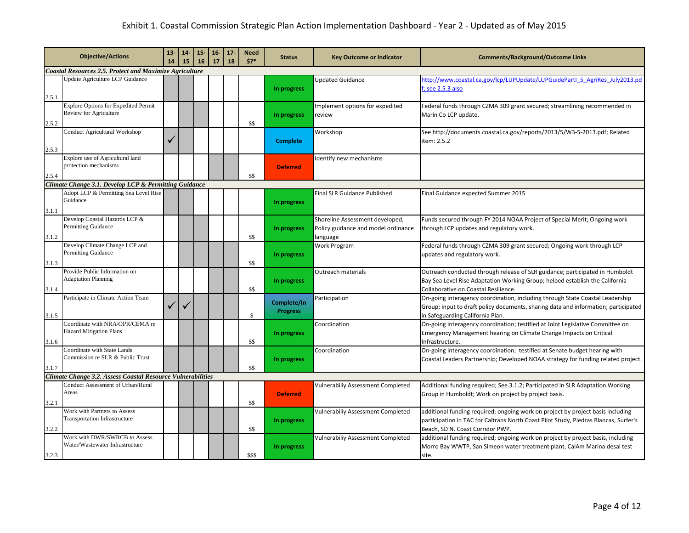|       | <b>Objective/Actions</b>                                         | $13 -$<br>14 | $14-$<br>15 | $15 -$<br>16 | $16-$<br>17 | $17 -$<br>18 | <b>Need</b><br>5? | <b>Status</b>   | <b>Key Outcome or Indicator</b>          | <b>Comments/Background/Outcome Links</b>                                                                                                                     |
|-------|------------------------------------------------------------------|--------------|-------------|--------------|-------------|--------------|-------------------|-----------------|------------------------------------------|--------------------------------------------------------------------------------------------------------------------------------------------------------------|
|       | <b>Coastal Resources 2.5. Protect and Maximize Agriculture</b>   |              |             |              |             |              |                   |                 |                                          |                                                                                                                                                              |
|       | Update Agriculture LCP Guidance                                  |              |             |              |             |              |                   |                 | <b>Updated Guidance</b>                  | http://www.coastal.ca.gov/lcp/LUPUpdate/LUPGuidePartl 5 AgriRes July2013.pd                                                                                  |
| 2.5.1 |                                                                  |              |             |              |             |              |                   | In progress     |                                          | f; see 2.5.3 also                                                                                                                                            |
|       | <b>Explore Options for Expedited Permit</b>                      |              |             |              |             |              |                   |                 | Implement options for expedited          | Federal funds through CZMA 309 grant secured; streamlining recommended in                                                                                    |
|       | Review for Agriculture                                           |              |             |              |             |              |                   | In progress     | review                                   | Marin Co LCP update.                                                                                                                                         |
| 2.5.2 |                                                                  |              |             |              |             |              | \$\$              |                 |                                          |                                                                                                                                                              |
|       | <b>Conduct Agricultural Workshop</b>                             |              |             |              |             |              |                   |                 | Workshop                                 | See http://documents.coastal.ca.gov/reports/2013/5/W3-5-2013.pdf; Related                                                                                    |
|       |                                                                  |              |             |              |             |              |                   | <b>Complete</b> |                                          | item: 2.5.2                                                                                                                                                  |
| 2.5.3 |                                                                  |              |             |              |             |              |                   |                 |                                          |                                                                                                                                                              |
|       | Explore use of Agricultural land                                 |              |             |              |             |              |                   |                 | Identify new mechanisms                  |                                                                                                                                                              |
|       | protection mechanisms                                            |              |             |              |             |              |                   | <b>Deferred</b> |                                          |                                                                                                                                                              |
| 2.5.4 |                                                                  |              |             |              |             |              | \$\$              |                 |                                          |                                                                                                                                                              |
|       | Climate Change 3.1. Develop LCP & Permitting Guidance            |              |             |              |             |              |                   |                 |                                          |                                                                                                                                                              |
|       | Adopt LCP & Permitting Sea Level Rise                            |              |             |              |             |              |                   |                 | Final SLR Guidance Published             | Final Guidance expected Summer 2015                                                                                                                          |
|       | Guidance                                                         |              |             |              |             |              |                   | In progress     |                                          |                                                                                                                                                              |
| 3.1.1 |                                                                  |              |             |              |             |              |                   |                 |                                          |                                                                                                                                                              |
|       | Develop Coastal Hazards LCP &                                    |              |             |              |             |              |                   |                 | Shoreline Assessment developed;          | Funds secured through FY 2014 NOAA Project of Special Merit; Ongoing work                                                                                    |
|       | <b>Permitting Guidance</b>                                       |              |             |              |             |              |                   | In progress     | Policy guidance and model ordinance      | through LCP updates and regulatory work.                                                                                                                     |
| 3.1.2 |                                                                  |              |             |              |             |              | \$\$              |                 | language                                 |                                                                                                                                                              |
|       | Develop Climate Change LCP and<br><b>Permitting Guidance</b>     |              |             |              |             |              |                   |                 | Work Program                             | Federal funds through CZMA 309 grant secured; Ongoing work through LCP                                                                                       |
|       |                                                                  |              |             |              |             |              |                   | In progress     |                                          | updates and regulatory work.                                                                                                                                 |
| 3.1.3 | Provide Public Information on                                    |              |             |              |             |              | \$\$              |                 |                                          |                                                                                                                                                              |
|       | <b>Adaptation Planning</b>                                       |              |             |              |             |              |                   |                 | Outreach materials                       | Outreach conducted through release of SLR guidance; participated in Humboldt<br>Bay Sea Level Rise Adaptation Working Group; helped establish the California |
| 3.1.4 |                                                                  |              |             |              |             |              | \$\$              | In progress     |                                          | Collaborative on Coastal Resilience.                                                                                                                         |
|       | Participate in Climate Action Team                               |              |             |              |             |              |                   |                 | Participation                            | On-going interagency coordination, including through State Coastal Leadership                                                                                |
|       |                                                                  | ✓            |             |              |             |              |                   | Complete/In     |                                          | Group; input to draft policy documents, sharing data and information; participated                                                                           |
| 3.1.5 |                                                                  |              |             |              |             |              | $\$$              | <b>Progress</b> |                                          | in Safeguarding California Plan.                                                                                                                             |
|       | Coordinate with NRA/OPR/CEMA re                                  |              |             |              |             |              |                   |                 | Coordination                             | On-going interagency coordination; testified at Joint Legislative Committee on                                                                               |
|       | <b>Hazard Mitigation Plans</b>                                   |              |             |              |             |              |                   | In progress     |                                          | Emergency Management hearing on Climate Change Impacts on Critical                                                                                           |
| 3.1.6 |                                                                  |              |             |              |             |              | \$\$              |                 |                                          | Infrastructure.                                                                                                                                              |
|       | Coordinate with State Lands                                      |              |             |              |             |              |                   |                 | Coordination                             | On-going interagency coordination; testified at Senate budget hearing with                                                                                   |
|       | Commission re SLR & Public Trust                                 |              |             |              |             |              |                   | In progress     |                                          | Coastal Leaders Partnership; Developed NOAA strategy for funding related project.                                                                            |
| 3.1.7 |                                                                  |              |             |              |             |              | \$\$              |                 |                                          |                                                                                                                                                              |
|       | Climate Change 3.2. Assess Coastal Resource Vulnerabilities      |              |             |              |             |              |                   |                 |                                          |                                                                                                                                                              |
|       | Conduct Assessment of Urban/Rural                                |              |             |              |             |              |                   |                 | Vulnerabiliy Assessment Completed        | Additional funding required; See 3.1.2; Participated in SLR Adaptation Working                                                                               |
|       | Areas                                                            |              |             |              |             |              |                   | <b>Deferred</b> |                                          | Group in Humboldt; Work on project by project basis.                                                                                                         |
| 3.2.1 |                                                                  |              |             |              |             |              | \$\$              |                 |                                          |                                                                                                                                                              |
|       | Work with Partners to Assess                                     |              |             |              |             |              |                   |                 | <b>Vulnerabiliy Assessment Completed</b> | additional funding required; ongoing work on project by project basis including                                                                              |
|       | <b>Transportation Infrastructure</b>                             |              |             |              |             |              |                   | In progress     |                                          | participation in TAC for Caltrans North Coast Pilot Study, Piedras Blancas, Surfer's                                                                         |
| 3.2.2 |                                                                  |              |             |              |             |              | \$\$              |                 |                                          | Beach, SD N. Coast Corridor PWP.                                                                                                                             |
|       | Work with DWR/SWRCB to Assess<br>Water/Wastewater Infrastructure |              |             |              |             |              |                   |                 | <b>Vulnerabiliy Assessment Completed</b> | additional funding required; ongoing work on project by project basis, including                                                                             |
|       |                                                                  |              |             |              |             |              |                   | In progress     |                                          | Morro Bay WWTP, San Simeon water treatment plant, CalAm Marina desal test                                                                                    |
| 3.2.3 |                                                                  |              |             |              |             |              | \$\$\$            |                 |                                          | site.                                                                                                                                                        |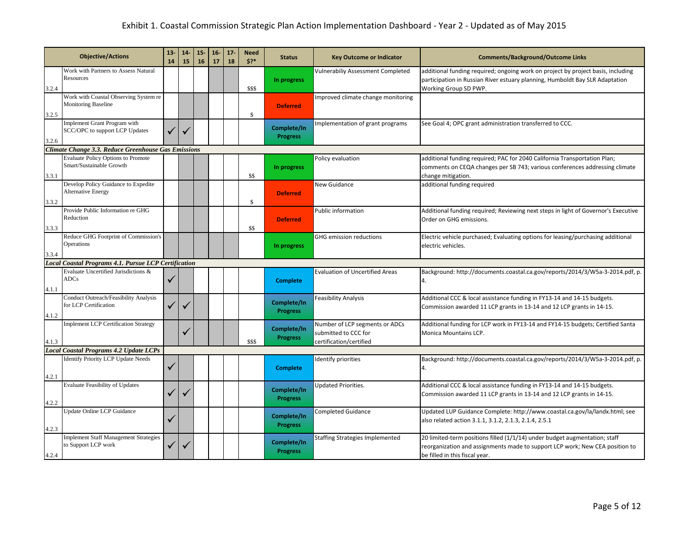|       | <b>Objective/Actions</b>                                              |   | $14-$<br>15 | $15-$<br>16 | $16-$<br>17 | $17 -$<br>18 | <b>Need</b><br>5? | <b>Status</b>                  | <b>Key Outcome or Indicator</b>                                                   | <b>Comments/Background/Outcome Links</b>                                                                                                                                                     |
|-------|-----------------------------------------------------------------------|---|-------------|-------------|-------------|--------------|-------------------|--------------------------------|-----------------------------------------------------------------------------------|----------------------------------------------------------------------------------------------------------------------------------------------------------------------------------------------|
| 3.2.4 | Work with Partners to Assess Natural<br>Resources                     |   |             |             |             |              | \$\$\$            | In progress                    | Vulnerabiliy Assessment Completed                                                 | additional funding required; ongoing work on project by project basis, including<br>participation in Russian River estuary planning, Humboldt Bay SLR Adaptation<br>Working Group SD PWP.    |
| 3.2.5 | Work with Coastal Observing System re<br><b>Monitoring Baseline</b>   |   |             |             |             |              | \$                | <b>Deferred</b>                | Improved climate change monitoring                                                |                                                                                                                                                                                              |
| 3.2.6 | Implement Grant Program with<br>SCC/OPC to support LCP Updates        | ✓ |             |             |             |              |                   | Complete/In<br><b>Progress</b> | Implementation of grant programs                                                  | See Goal 4; OPC grant administration transferred to CCC.                                                                                                                                     |
|       | <b>Climate Change 3.3. Reduce Greenhouse Gas Emissions</b>            |   |             |             |             |              |                   |                                |                                                                                   |                                                                                                                                                                                              |
| 3.3.1 | <b>Evaluate Policy Options to Promote</b><br>Smart/Sustainable Growth |   |             |             |             |              | \$\$              | In progress                    | Policy evaluation                                                                 | additional funding required; PAC for 2040 California Transportation Plan;<br>comments on CEQA changes per SB 743; various conferences addressing climate<br>change mitigation.               |
| 3.3.2 | Develop Policy Guidance to Expedite<br><b>Alternative Energy</b>      |   |             |             |             |              | \$                | <b>Deferred</b>                | New Guidance                                                                      | additional funding required                                                                                                                                                                  |
| 3.3.3 | Provide Public Information re GHG<br>Reduction                        |   |             |             |             |              | \$\$              | <b>Deferred</b>                | Public information                                                                | Additional funding required; Reviewing next steps in light of Governor's Executive<br>Order on GHG emissions.                                                                                |
| 3.3.4 | Reduce GHG Footprint of Commission's<br>Operations                    |   |             |             |             |              |                   | In progress                    | <b>GHG emission reductions</b>                                                    | Electric vehicle purchased; Evaluating options for leasing/purchasing additional<br>electric vehicles.                                                                                       |
|       | Local Coastal Programs 4.1. Pursue LCP Certification                  |   |             |             |             |              |                   |                                |                                                                                   |                                                                                                                                                                                              |
| 4.1.1 | Evaluate Uncertified Jurisdictions &<br><b>ADCs</b>                   | ✓ |             |             |             |              |                   | <b>Complete</b>                | <b>Evaluation of Uncertified Areas</b>                                            | Background: http://documents.coastal.ca.gov/reports/2014/3/W5a-3-2014.pdf, p.<br>4.                                                                                                          |
| 4.1.2 | Conduct Outreach/Feasibility Analysis<br>for LCP Certification        | ✓ |             |             |             |              |                   | Complete/In<br><b>Progress</b> | Feasibility Analysis                                                              | Additional CCC & local assistance funding in FY13-14 and 14-15 budgets.<br>Commission awarded 11 LCP grants in 13-14 and 12 LCP grants in 14-15.                                             |
| 4.1.3 | <b>Implement LCP Certification Strategy</b>                           |   |             |             |             |              | \$\$\$            | Complete/In<br><b>Progress</b> | Number of LCP segments or ADCs<br>submitted to CCC for<br>certification/certified | Additional funding for LCP work in FY13-14 and FY14-15 budgets; Certified Santa<br>Monica Mountains LCP.                                                                                     |
|       | <b>Local Coastal Programs 4.2 Update LCPs</b>                         |   |             |             |             |              |                   |                                |                                                                                   |                                                                                                                                                                                              |
| 4.2.1 | <b>Identify Priority LCP Update Needs</b>                             | ✓ |             |             |             |              |                   | <b>Complete</b>                | Identify priorities                                                               | Background: http://documents.coastal.ca.gov/reports/2014/3/W5a-3-2014.pdf, p.<br>4.                                                                                                          |
| 4.2.2 | <b>Evaluate Feasibility of Updates</b>                                |   |             |             |             |              |                   | Complete/In<br><b>Progress</b> | Updated Priorities.                                                               | Additional CCC & local assistance funding in FY13-14 and 14-15 budgets.<br>Commission awarded 11 LCP grants in 13-14 and 12 LCP grants in 14-15.                                             |
| 4.2.3 | Update Online LCP Guidance                                            | ✓ |             |             |             |              |                   | Complete/In<br><b>Progress</b> | <b>Completed Guidance</b>                                                         | Updated LUP Guidance Complete: http://www.coastal.ca.gov/la/landx.html; see<br>also related action 3.1.1, 3.1.2, 2.1.3, 2.1.4, 2.5.1                                                         |
| 4.2.4 | <b>Implement Staff Management Strategies</b><br>to Support LCP work   | ✓ |             |             |             |              |                   | Complete/In<br><b>Progress</b> | Staffing Strategies Implemented                                                   | 20 limited-term positions filled (1/1/14) under budget augmentation; staff<br>reorganization and assignments made to support LCP work; New CEA position to<br>be filled in this fiscal year. |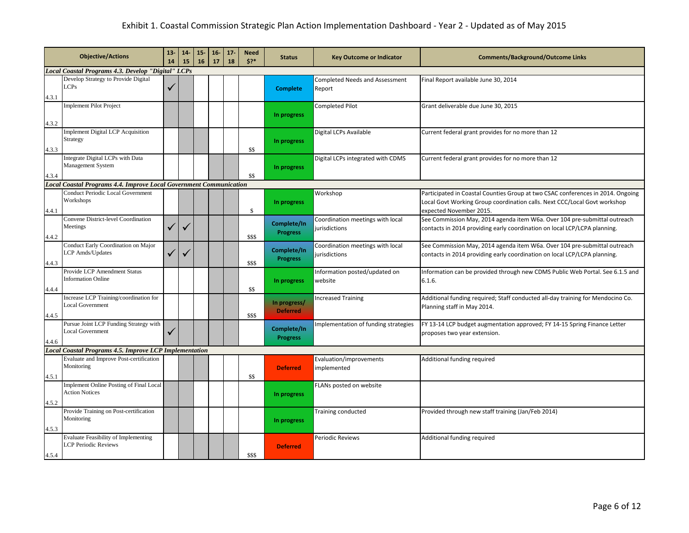|       | <b>Objective/Actions</b>                                                  | $13 -$<br>14 | $14-$<br>15 | $15 -$<br>16 | $16 -$<br>17 | $17 -$<br>18 | <b>Need</b><br>$$3*$ | <b>Status</b>                   | <b>Key Outcome or Indicator</b>                   | <b>Comments/Background/Outcome Links</b>                                                                                                                                                |
|-------|---------------------------------------------------------------------------|--------------|-------------|--------------|--------------|--------------|----------------------|---------------------------------|---------------------------------------------------|-----------------------------------------------------------------------------------------------------------------------------------------------------------------------------------------|
|       | Local Coastal Programs 4.3. Develop "Digital" LCPs                        |              |             |              |              |              |                      |                                 |                                                   |                                                                                                                                                                                         |
| 4.3.1 | Develop Strategy to Provide Digital<br><b>LCPs</b>                        | √            |             |              |              |              |                      | <b>Complete</b>                 | <b>Completed Needs and Assessment</b><br>Report   | Final Report available June 30, 2014                                                                                                                                                    |
| 4.3.2 | <b>Implement Pilot Project</b>                                            |              |             |              |              |              |                      | In progress                     | Completed Pilot                                   | Grant deliverable due June 30, 2015                                                                                                                                                     |
| 4.3.3 | <b>Implement Digital LCP Acquisition</b><br>Strategy                      |              |             |              |              |              | \$\$                 | In progress                     | Digital LCPs Available                            | Current federal grant provides for no more than 12                                                                                                                                      |
| 4.3.4 | Integrate Digital LCPs with Data<br>Management System                     |              |             |              |              |              | \$\$                 | In progress                     | Digital LCPs integrated with CDMS                 | Current federal grant provides for no more than 12                                                                                                                                      |
|       | <b>Local Coastal Programs 4.4. Improve Local Government Communication</b> |              |             |              |              |              |                      |                                 |                                                   |                                                                                                                                                                                         |
| 4.4.1 | <b>Conduct Periodic Local Government</b><br>Workshops                     |              |             |              |              |              | $\mathbb{S}$         | In progress                     | Workshop                                          | Participated in Coastal Counties Group at two CSAC conferences in 2014. Ongoing<br>Local Govt Working Group coordination calls. Next CCC/Local Govt workshop<br>expected November 2015. |
| 4.4.2 | Convene District-level Coordination<br>Meetings                           | $\checkmark$ |             |              |              |              | \$\$\$               | Complete/In<br><b>Progress</b>  | Coordination meetings with local<br>jurisdictions | See Commission May, 2014 agenda item W6a. Over 104 pre-submittal outreach<br>contacts in 2014 providing early coordination on local LCP/LCPA planning.                                  |
| 4.4.3 | Conduct Early Coordination on Major<br>LCP Amds/Updates                   | ✓            |             |              |              |              | \$\$\$               | Complete/In<br><b>Progress</b>  | Coordination meetings with local<br>jurisdictions | See Commission May, 2014 agenda item W6a. Over 104 pre-submittal outreach<br>contacts in 2014 providing early coordination on local LCP/LCPA planning.                                  |
| 4.4.4 | Provide LCP Amendment Status<br><b>Information Online</b>                 |              |             |              |              |              | \$\$                 | In progress                     | Information posted/updated on<br>website          | Information can be provided through new CDMS Public Web Portal. See 6.1.5 and<br>6.1.6.                                                                                                 |
| 4.4.5 | Increase LCP Training/coordination for<br><b>Local Government</b>         |              |             |              |              |              | \$\$\$               | In progress/<br><b>Deferred</b> | <b>Increased Training</b>                         | Additional funding required; Staff conducted all-day training for Mendocino Co.<br>Planning staff in May 2014.                                                                          |
| 4.4.6 | Pursue Joint LCP Funding Strategy with<br><b>Local Government</b>         | ✓            |             |              |              |              |                      | Complete/In<br><b>Progress</b>  | Implementation of funding strategies              | FY 13-14 LCP budget augmentation approved; FY 14-15 Spring Finance Letter<br>proposes two year extension.                                                                               |
|       | <b>Local Coastal Programs 4.5. Improve LCP Implementation</b>             |              |             |              |              |              |                      |                                 |                                                   |                                                                                                                                                                                         |
| 4.5.1 | Evaluate and Improve Post-certification<br>Monitoring                     |              |             |              |              |              | \$\$                 | <b>Deferred</b>                 | Evaluation/improvements<br>implemented            | Additional funding required                                                                                                                                                             |
| 4.5.2 | Implement Online Posting of Final Local<br><b>Action Notices</b>          |              |             |              |              |              |                      | In progress                     | FLANs posted on website                           |                                                                                                                                                                                         |
| 4.5.3 | Provide Training on Post-certification<br>Monitoring                      |              |             |              |              |              |                      | In progress                     | <b>Training conducted</b>                         | Provided through new staff training (Jan/Feb 2014)                                                                                                                                      |
| 4.5.4 | Evaluate Feasibility of Implementing<br><b>LCP Periodic Reviews</b>       |              |             |              |              |              | \$\$\$               | <b>Deferred</b>                 | Periodic Reviews                                  | Additional funding required                                                                                                                                                             |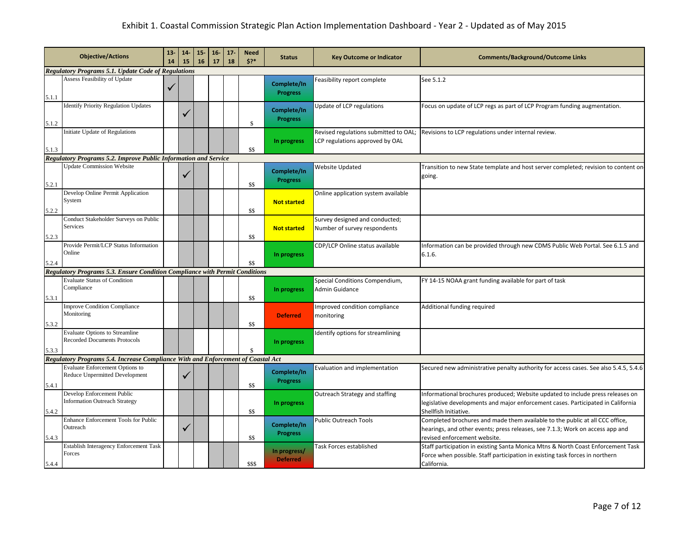|       | <b>Objective/Actions</b>                                                           |   | $14-$<br>15 | $15 -$<br>16 | $16-$<br>17 | $17 -$<br>18 | <b>Need</b><br>$5?*$ | <b>Status</b>                   | <b>Key Outcome or Indicator</b>                                          | <b>Comments/Background/Outcome Links</b>                                                                                                                                                      |
|-------|------------------------------------------------------------------------------------|---|-------------|--------------|-------------|--------------|----------------------|---------------------------------|--------------------------------------------------------------------------|-----------------------------------------------------------------------------------------------------------------------------------------------------------------------------------------------|
|       | <b>Regulatory Programs 5.1. Update Code of Regulations</b>                         |   |             |              |             |              |                      |                                 |                                                                          |                                                                                                                                                                                               |
| 5.1.1 | Assess Feasibility of Update                                                       | √ |             |              |             |              |                      | Complete/In<br><b>Progress</b>  | Feasibility report complete                                              | See 5.1.2                                                                                                                                                                                     |
| 5.1.2 | <b>Identify Priority Regulation Updates</b>                                        |   |             |              |             |              | \$                   | Complete/In<br><b>Progress</b>  | Update of LCP regulations                                                | Focus on update of LCP regs as part of LCP Program funding augmentation.                                                                                                                      |
| 5.1.3 | Initiate Update of Regulations                                                     |   |             |              |             |              | \$\$                 | In progress                     | Revised regulations submitted to OAL;<br>LCP regulations approved by OAL | Revisions to LCP regulations under internal review.                                                                                                                                           |
|       | Regulatory Programs 5.2. Improve Public Information and Service                    |   |             |              |             |              |                      |                                 |                                                                          |                                                                                                                                                                                               |
| 5.2.1 | <b>Update Commission Website</b>                                                   |   |             |              |             |              | \$\$                 | Complete/In<br><b>Progress</b>  | Website Updated                                                          | Transition to new State template and host server completed; revision to content on<br>going.                                                                                                  |
| 5.2.2 | Develop Online Permit Application<br>System                                        |   |             |              |             |              | \$\$                 | <b>Not started</b>              | Online application system available                                      |                                                                                                                                                                                               |
| 5.2.3 | Conduct Stakeholder Surveys on Public<br>Services                                  |   |             |              |             |              | \$\$                 | <b>Not started</b>              | Survey designed and conducted;<br>Number of survey respondents           |                                                                                                                                                                                               |
| 5.2.4 | Provide Permit/LCP Status Information<br>Online                                    |   |             |              |             |              | \$\$                 | In progress                     | CDP/LCP Online status available                                          | Information can be provided through new CDMS Public Web Portal. See 6.1.5 and<br>6.1.6.                                                                                                       |
|       | <b>Regulatory Programs 5.3. Ensure Condition Compliance with Permit Conditions</b> |   |             |              |             |              |                      |                                 |                                                                          |                                                                                                                                                                                               |
| 5.3.1 | <b>Evaluate Status of Condition</b><br>Compliance                                  |   |             |              |             |              | \$\$                 | In progress                     | Special Conditions Compendium,<br>Admin Guidance                         | FY 14-15 NOAA grant funding available for part of task                                                                                                                                        |
| 5.3.2 | <b>Improve Condition Compliance</b><br>Monitoring                                  |   |             |              |             |              | \$\$                 | <b>Deferred</b>                 | Improved condition compliance<br>monitoring                              | Additional funding required                                                                                                                                                                   |
| 5.3.3 | <b>Evaluate Options to Streamline</b><br><b>Recorded Documents Protocols</b>       |   |             |              |             |              |                      | In progress                     | Identify options for streamlining                                        |                                                                                                                                                                                               |
|       | Regulatory Programs 5.4. Increase Compliance With and Enforcement of Coastal Act   |   |             |              |             |              |                      |                                 |                                                                          |                                                                                                                                                                                               |
| 5.4.1 | <b>Evaluate Enforcement Options to</b><br>Reduce Unpermitted Development           |   |             |              |             |              | \$\$                 | Complete/In<br><b>Progress</b>  | Evaluation and implementation                                            | Secured new administrative penalty authority for access cases. See also 5.4.5, 5.4.6                                                                                                          |
| 5.4.2 | Develop Enforcement Public<br><b>Information Outreach Strategy</b>                 |   |             |              |             |              | \$\$                 | In progress                     | Outreach Strategy and staffing                                           | Informational brochures produced; Website updated to include press releases on<br>legislative developments and major enforcement cases. Participated in California<br>Shellfish Initiative.   |
| 5.4.3 | <b>Enhance Enforcement Tools for Public</b><br>Outreach                            |   | ✓           |              |             |              | \$\$                 | Complete/In<br><b>Progress</b>  | <b>Public Outreach Tools</b>                                             | Completed brochures and made them available to the public at all CCC office,<br>hearings, and other events; press releases, see 7.1.3; Work on access app and<br>revised enforcement website. |
| 5.4.4 | Establish Interagency Enforcement Task<br>Forces                                   |   |             |              |             |              | \$\$\$               | In progress/<br><b>Deferred</b> | Task Forces established                                                  | Staff participation in existing Santa Monica Mtns & North Coast Enforcement Task<br>Force when possible. Staff participation in existing task forces in northern<br>California.               |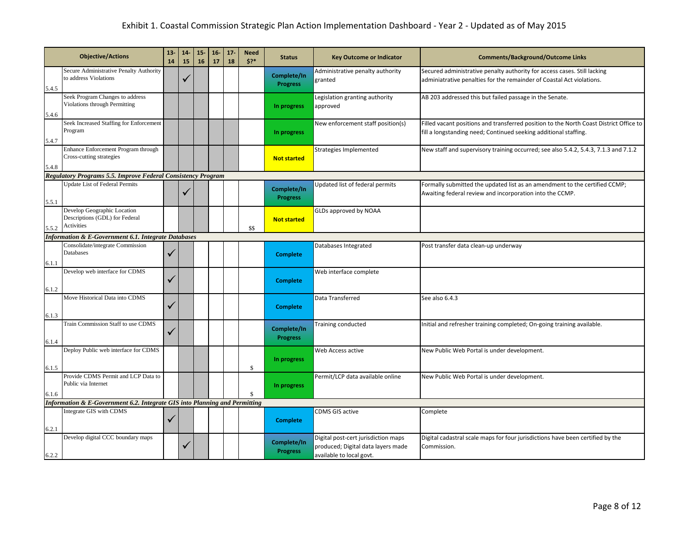|       | <b>Objective/Actions</b>                                                    |              | $14-$<br>15 | $15-$<br>16 | $16-$<br>17 | $17 -$<br>18 | <b>Need</b><br>5? | <b>Status</b>                  | <b>Key Outcome or Indicator</b>                                                                       | <b>Comments/Background/Outcome Links</b>                                                                                                                   |
|-------|-----------------------------------------------------------------------------|--------------|-------------|-------------|-------------|--------------|-------------------|--------------------------------|-------------------------------------------------------------------------------------------------------|------------------------------------------------------------------------------------------------------------------------------------------------------------|
| 5.4.5 | Secure Administrative Penalty Authority<br>to address Violations            |              |             |             |             |              |                   | Complete/In<br><b>Progress</b> | Administrative penalty authority<br>granted                                                           | Secured administrative penalty authority for access cases. Still lacking<br>adminiatrative penalties for the remainder of Coastal Act violations.          |
| 5.4.6 | Seek Program Changes to address<br>Violations through Permitting            |              |             |             |             |              |                   | In progress                    | Legislation granting authority<br>approved                                                            | AB 203 addressed this but failed passage in the Senate.                                                                                                    |
| 5.4.7 | Seek Increased Staffing for Enforcement<br>Program                          |              |             |             |             |              |                   | In progress                    | New enforcement staff position(s)                                                                     | Filled vacant positions and transferred position to the North Coast District Office to<br>fill a longstanding need; Continued seeking additional staffing. |
| 5.4.8 | Enhance Enforcement Program through<br>Cross-cutting strategies             |              |             |             |             |              |                   | <b>Not started</b>             | Strategies Implemented                                                                                | New staff and supervisory training occurred; see also 5.4.2, 5.4.3, 7.1.3 and 7.1.2                                                                        |
|       | Regulatory Programs 5.5. Improve Federal Consistency Program                |              |             |             |             |              |                   |                                |                                                                                                       |                                                                                                                                                            |
| 5.5.1 | <b>Update List of Federal Permits</b>                                       |              |             |             |             |              |                   | Complete/In<br><b>Progress</b> | Updated list of federal permits                                                                       | Formally submitted the updated list as an amendment to the certified CCMP;<br>Awaiting federal review and incorporation into the CCMP.                     |
| 5.5.2 | Develop Geographic Location<br>Descriptions (GDL) for Federal<br>Activities |              |             |             |             |              | \$\$              | <b>Not started</b>             | GLDs approved by NOAA                                                                                 |                                                                                                                                                            |
|       | <b>Information &amp; E-Government 6.1. Integrate Databases</b>              |              |             |             |             |              |                   |                                |                                                                                                       |                                                                                                                                                            |
| 6.1.1 | Consolidate/integrate Commission<br>Databases                               | $\checkmark$ |             |             |             |              |                   | <b>Complete</b>                | Databases Integrated                                                                                  | Post transfer data clean-up underway                                                                                                                       |
| 6.1.2 | Develop web interface for CDMS                                              | ✓            |             |             |             |              |                   | <b>Complete</b>                | Web interface complete                                                                                |                                                                                                                                                            |
| 6.1.3 | Move Historical Data into CDMS                                              | ✓            |             |             |             |              |                   | <b>Complete</b>                | Data Transferred                                                                                      | See also 6.4.3                                                                                                                                             |
| 6.1.4 | Train Commission Staff to use CDMS                                          | ✓            |             |             |             |              |                   | Complete/In<br><b>Progress</b> | Training conducted                                                                                    | Initial and refresher training completed; On-going training available.                                                                                     |
| 6.1.5 | Deploy Public web interface for CDMS                                        |              |             |             |             |              | \$                | In progress                    | Web Access active                                                                                     | New Public Web Portal is under development.                                                                                                                |
| 6.1.6 | Provide CDMS Permit and LCP Data to<br>Public via Internet                  |              |             |             |             |              |                   | In progress                    | Permit/LCP data available online                                                                      | New Public Web Portal is under development.                                                                                                                |
|       | Information & E-Government 6.2. Integrate GIS into Planning and Permitting  |              |             |             |             |              |                   |                                |                                                                                                       |                                                                                                                                                            |
| 6.2.1 | Integrate GIS with CDMS                                                     | $\checkmark$ |             |             |             |              |                   | <b>Complete</b>                | CDMS GIS active                                                                                       | Complete                                                                                                                                                   |
| 6.2.2 | Develop digital CCC boundary maps                                           |              |             |             |             |              |                   | Complete/In<br><b>Progress</b> | Digital post-cert jurisdiction maps<br>produced; Digital data layers made<br>available to local govt. | Digital cadastral scale maps for four jurisdictions have been certified by the<br>Commission.                                                              |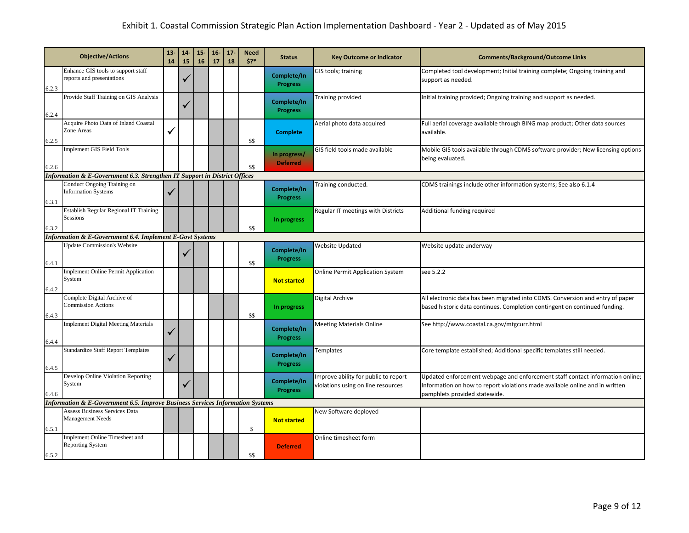|       | <b>Objective/Actions</b>                                                                 | $13 -$<br>14 | $14-$<br>15 | $15-$<br>16 | $16-$<br>17 | $17 -$<br>18 | <b>Need</b><br>$5?*$ | <b>Status</b>                   | <b>Key Outcome or Indicator</b>                                            | <b>Comments/Background/Outcome Links</b>                                                                                                                                                       |
|-------|------------------------------------------------------------------------------------------|--------------|-------------|-------------|-------------|--------------|----------------------|---------------------------------|----------------------------------------------------------------------------|------------------------------------------------------------------------------------------------------------------------------------------------------------------------------------------------|
| 6.2.3 | Enhance GIS tools to support staff<br>reports and presentations                          |              |             |             |             |              |                      | Complete/In<br><b>Progress</b>  | GIS tools; training                                                        | Completed tool development; Initial training complete; Ongoing training and<br>support as needed.                                                                                              |
| 6.2.4 | Provide Staff Training on GIS Analysis                                                   |              |             |             |             |              |                      | Complete/In<br><b>Progress</b>  | Training provided                                                          | Initial training provided; Ongoing training and support as needed.                                                                                                                             |
| 6.2.5 | Acquire Photo Data of Inland Coastal<br>Zone Areas                                       | $\checkmark$ |             |             |             |              | \$\$                 | <b>Complete</b>                 | Aerial photo data acquired                                                 | Full aerial coverage available through BING map product; Other data sources<br>available.                                                                                                      |
| 6.2.6 | <b>Implement GIS Field Tools</b>                                                         |              |             |             |             |              | \$\$                 | In progress/<br><b>Deferred</b> | GIS field tools made available                                             | Mobile GIS tools available through CDMS software provider; New licensing options<br>being evaluated.                                                                                           |
|       | Information & E-Government 6.3. Strengthen IT Support in District Offices                |              |             |             |             |              |                      |                                 |                                                                            |                                                                                                                                                                                                |
| 6.3.1 | Conduct Ongoing Training on<br><b>Information Systems</b>                                | ✓            |             |             |             |              |                      | Complete/In<br><b>Progress</b>  | Training conducted.                                                        | CDMS trainings include other information systems; See also 6.1.4                                                                                                                               |
| 6.3.2 | Establish Regular Regional IT Training<br>Sessions                                       |              |             |             |             |              | \$\$                 | In progress                     | Regular IT meetings with Districts                                         | Additional funding required                                                                                                                                                                    |
|       | <b>Information &amp; E-Government 6.4. Implement E-Govt Systems</b>                      |              |             |             |             |              |                      |                                 |                                                                            |                                                                                                                                                                                                |
| 6.4.1 | <b>Update Commission's Website</b>                                                       |              | ✓           |             |             |              | \$\$                 | Complete/In<br><b>Progress</b>  | Website Updated                                                            | Website update underway                                                                                                                                                                        |
| 6.4.2 | <b>Implement Online Permit Application</b><br>System                                     |              |             |             |             |              |                      | <b>Not started</b>              | <b>Online Permit Application System</b>                                    | see 5.2.2                                                                                                                                                                                      |
| 6.4.3 | Complete Digital Archive of<br><b>Commission Actions</b>                                 |              |             |             |             |              | \$\$                 | In progress                     | Digital Archive                                                            | All electronic data has been migrated into CDMS. Conversion and entry of paper<br>based historic data continues. Completion contingent on continued funding.                                   |
| 6.4.4 | <b>Implement Digital Meeting Materials</b>                                               | ✓            |             |             |             |              |                      | Complete/In<br><b>Progress</b>  | Meeting Materials Online                                                   | See http://www.coastal.ca.gov/mtgcurr.html                                                                                                                                                     |
| 6.4.5 | <b>Standardize Staff Report Templates</b>                                                | $\checkmark$ |             |             |             |              |                      | Complete/In<br><b>Progress</b>  | Templates                                                                  | Core template established; Additional specific templates still needed.                                                                                                                         |
| 6.4.6 | Develop Online Violation Reporting<br>System                                             |              |             |             |             |              |                      | Complete/In<br><b>Progress</b>  | Improve ability for public to report<br>violations using on line resources | Updated enforcement webpage and enforcement staff contact information online;<br>Information on how to report violations made available online and in written<br>pamphlets provided statewide. |
|       | <b>Information &amp; E-Government 6.5. Improve Business Services Information Systems</b> |              |             |             |             |              |                      |                                 |                                                                            |                                                                                                                                                                                                |
| 6.5.1 | Assess Business Services Data<br><b>Management Needs</b>                                 |              |             |             |             |              | \$                   | <b>Not started</b>              | New Software deployed                                                      |                                                                                                                                                                                                |
| 6.5.2 | Implement Online Timesheet and<br><b>Reporting System</b>                                |              |             |             |             |              | \$\$                 | <b>Deferred</b>                 | Online timesheet form                                                      |                                                                                                                                                                                                |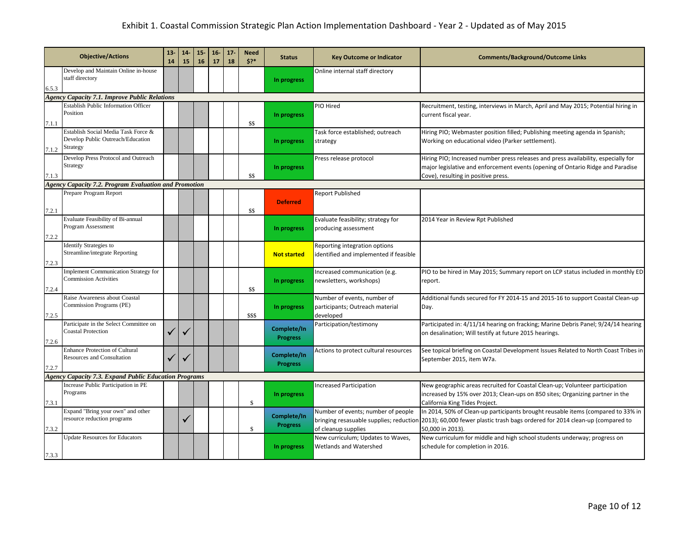|       | <b>Objective/Actions</b>                                                             |  | $14-$<br>15 | $15 -$<br>16 | $16-$<br>17 | $17-$<br>18 | <b>Need</b><br>$5?*$ | <b>Status</b>                  | <b>Key Outcome or Indicator</b>                                             | <b>Comments/Background/Outcome Links</b>                                                                                                                                                                                      |
|-------|--------------------------------------------------------------------------------------|--|-------------|--------------|-------------|-------------|----------------------|--------------------------------|-----------------------------------------------------------------------------|-------------------------------------------------------------------------------------------------------------------------------------------------------------------------------------------------------------------------------|
| 6.5.3 | Develop and Maintain Online in-house<br>staff directory                              |  |             |              |             |             |                      | In progress                    | Online internal staff directory                                             |                                                                                                                                                                                                                               |
|       | <b>Agency Capacity 7.1. Improve Public Relations</b>                                 |  |             |              |             |             |                      |                                |                                                                             |                                                                                                                                                                                                                               |
| 7.1.1 | <b>Establish Public Information Officer</b><br>Position                              |  |             |              |             |             | \$\$                 | In progress                    | PIO Hired                                                                   | Recruitment, testing, interviews in March, April and May 2015; Potential hiring in<br>current fiscal year.                                                                                                                    |
| 7.1.2 | Establish Social Media Task Force &<br>Develop Public Outreach/Education<br>Strategy |  |             |              |             |             |                      | In progress                    | Task force established; outreach<br>strategy                                | Hiring PIO; Webmaster position filled; Publishing meeting agenda in Spanish;<br>Working on educational video (Parker settlement).                                                                                             |
| 7.1.3 | Develop Press Protocol and Outreach<br>Strategy                                      |  |             |              |             |             | \$\$                 | In progress                    | Press release protocol                                                      | Hiring PIO; Increased number press releases and press availability, especially for<br>major legislative and enforcement events (opening of Ontario Ridge and Paradise<br>Cove), resulting in positive press.                  |
|       | <b>Agency Capacity 7.2. Program Evaluation and Promotion</b>                         |  |             |              |             |             |                      |                                |                                                                             |                                                                                                                                                                                                                               |
| 7.2.1 | Prepare Program Report                                                               |  |             |              |             |             | \$\$                 | <b>Deferred</b>                | Report Published                                                            |                                                                                                                                                                                                                               |
| 7.2.2 | Evaluate Feasibility of Bi-annual<br>Program Assessment                              |  |             |              |             |             |                      | In progress                    | Evaluate feasibility; strategy for<br>producing assessment                  | 2014 Year in Review Rpt Published                                                                                                                                                                                             |
| 7.2.3 | <b>Identify Strategies to</b><br>Streamline/integrate Reporting                      |  |             |              |             |             |                      | <b>Not started</b>             | Reporting integration options<br>identified and implemented if feasible     |                                                                                                                                                                                                                               |
| 7.2.4 | Implement Communication Strategy for<br><b>Commission Activities</b>                 |  |             |              |             |             | \$\$                 | In progress                    | Increased communication (e.g.<br>newsletters, workshops)                    | PIO to be hired in May 2015; Summary report on LCP status included in monthly ED<br>report.                                                                                                                                   |
| 7.2.5 | Raise Awareness about Coastal<br>Commission Programs (PE)                            |  |             |              |             |             | \$\$\$               | In progress                    | Number of events, number of<br>participants; Outreach material<br>developed | Additional funds secured for FY 2014-15 and 2015-16 to support Coastal Clean-up<br>Day.                                                                                                                                       |
| 7.2.6 | Participate in the Select Committee on<br><b>Coastal Protection</b>                  |  |             |              |             |             |                      | Complete/In<br><b>Progress</b> | Participation/testimony                                                     | Participated in: 4/11/14 hearing on fracking; Marine Debris Panel; 9/24/14 hearing<br>on desalination; Will testify at future 2015 hearings.                                                                                  |
| 7.2.7 | <b>Enhance Protection of Cultural</b><br><b>Resources and Consultation</b>           |  |             |              |             |             |                      | Complete/In<br><b>Progress</b> | Actions to protect cultural resources                                       | See topical briefing on Coastal Development Issues Related to North Coast Tribes in<br>September 2015, item W7a.                                                                                                              |
|       | <b>Agency Capacity 7.3. Expand Public Education Programs</b>                         |  |             |              |             |             |                      |                                |                                                                             |                                                                                                                                                                                                                               |
| 7.3.1 | Increase Public Participation in PE<br>Programs                                      |  |             |              |             |             | \$.                  | In progress                    | Increased Participation                                                     | New geographic areas recruited for Coastal Clean-up; Volunteer participation<br>increased by 15% over 2013; Clean-ups on 850 sites; Organizing partner in the<br>California King Tides Project.                               |
| 7.3.2 | Expand "Bring your own" and other<br>resource reduction programs                     |  | ✓           |              |             |             | \$                   | Complete/In<br><b>Progress</b> | Number of events; number of people<br>of cleanup supplies                   | In 2014, 50% of Clean-up participants brought reusable items (compared to 33% in<br>bringing resasuable supplies; reduction 2013); 60,000 fewer plastic trash bags ordered for 2014 clean-up (compared to<br>50,000 in 2013). |
| 7.3.3 | <b>Update Resources for Educators</b>                                                |  |             |              |             |             |                      | In progress                    | New curriculum; Updates to Waves,<br>Wetlands and Watershed                 | New curriculum for middle and high school students underway; progress on<br>schedule for completion in 2016.                                                                                                                  |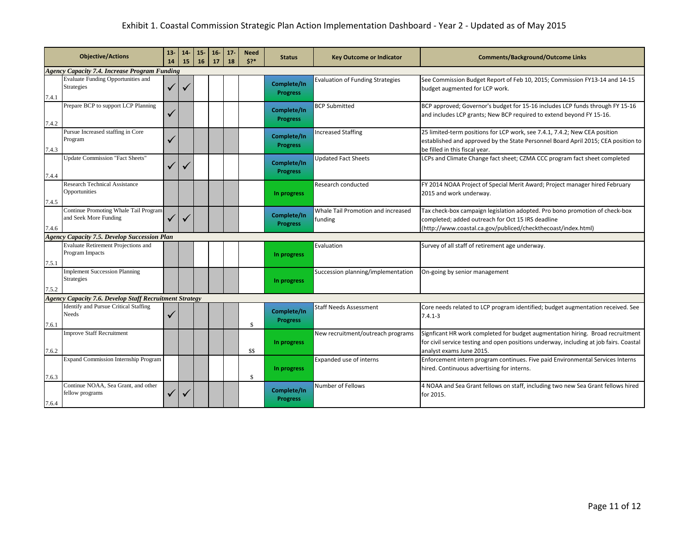| <b>Objective/Actions</b>                             |                                                                | 13 <sub>1</sub><br>14 | 14<br>15 | $15 -$<br>16 | $16-$<br>17 | 17 <sub>2</sub><br>18 | <b>Need</b><br>5? | <b>Status</b>                  | <b>Key Outcome or Indicator</b>               | <b>Comments/Background/Outcome Links</b>                                                                                                                                                             |
|------------------------------------------------------|----------------------------------------------------------------|-----------------------|----------|--------------|-------------|-----------------------|-------------------|--------------------------------|-----------------------------------------------|------------------------------------------------------------------------------------------------------------------------------------------------------------------------------------------------------|
| <b>Agency Capacity 7.4. Increase Program Funding</b> |                                                                |                       |          |              |             |                       |                   |                                |                                               |                                                                                                                                                                                                      |
| 7.4.1                                                | <b>Evaluate Funding Opportunities and</b><br>Strategies        |                       |          |              |             |                       |                   | Complete/In<br><b>Progress</b> | <b>Evaluation of Funding Strategies</b>       | See Commission Budget Report of Feb 10, 2015; Commission FY13-14 and 14-15<br>budget augmented for LCP work.                                                                                         |
| 7.4.2                                                | Prepare BCP to support LCP Planning                            | ✓                     |          |              |             |                       |                   | Complete/In<br><b>Progress</b> | <b>BCP Submitted</b>                          | BCP approved; Governor's budget for 15-16 includes LCP funds through FY 15-16<br>and includes LCP grants; New BCP required to extend beyond FY 15-16.                                                |
| 7.4.3                                                | Pursue Increased staffing in Core<br>Program                   |                       |          |              |             |                       |                   | Complete/In<br><b>Progress</b> | <b>Increased Staffing</b>                     | 25 limited-term positions for LCP work, see 7.4.1, 7.4.2; New CEA position<br>established and approved by the State Personnel Board April 2015; CEA position to<br>be filled in this fiscal year.    |
| 7.4.4                                                | <b>Update Commission "Fact Sheets"</b>                         |                       |          |              |             |                       |                   | Complete/In<br><b>Progress</b> | Updated Fact Sheets                           | LCPs and Climate Change fact sheet; CZMA CCC program fact sheet completed                                                                                                                            |
| 7.4.5                                                | <b>Research Technical Assistance</b><br>Opportunities          |                       |          |              |             |                       |                   | In progress                    | Research conducted                            | FY 2014 NOAA Project of Special Merit Award; Project manager hired February<br>2015 and work underway.                                                                                               |
| 7.4.6                                                | Continue Promoting Whale Tail Program<br>and Seek More Funding | $\checkmark$          |          |              |             |                       |                   | Complete/In<br><b>Progress</b> | Whale Tail Promotion and increased<br>funding | Tax check-box campaign legislation adopted. Pro bono promotion of check-box<br>completed; added outreach for Oct 15 IRS deadline<br>(http://www.coastal.ca.gov/publiced/checkthecoast/index.html)    |
|                                                      | <b>Agency Capacity 7.5. Develop Succession Plan</b>            |                       |          |              |             |                       |                   |                                |                                               |                                                                                                                                                                                                      |
| 7.5.1                                                | Evaluate Retirement Projections and<br>Program Impacts         |                       |          |              |             |                       |                   | In progress                    | Evaluation                                    | Survey of all staff of retirement age underway.                                                                                                                                                      |
| 7.5.2                                                | <b>Implement Succession Planning</b><br>Strategies             |                       |          |              |             |                       |                   | In progress                    | Succession planning/implementation            | On-going by senior management                                                                                                                                                                        |
|                                                      | <b>Agency Capacity 7.6. Develop Staff Recruitment Strategy</b> |                       |          |              |             |                       |                   |                                |                                               |                                                                                                                                                                                                      |
| 7.6.1                                                | <b>Identify and Pursue Critical Staffing</b><br>Needs          | ✓                     |          |              |             |                       | \$                | Complete/In<br><b>Progress</b> | <b>Staff Needs Assessment</b>                 | Core needs related to LCP program identified; budget augmentation received. See<br>$7.4.1 - 3$                                                                                                       |
| 7.6.2                                                | <b>Improve Staff Recruitment</b>                               |                       |          |              |             |                       | \$\$              | In progress                    | New recruitment/outreach programs             | Signficant HR work completed for budget augmentation hiring. Broad recruitment<br>for civil service testing and open positions underway, including at job fairs. Coastal<br>analyst exams June 2015. |
| 7.6.3                                                | <b>Expand Commission Internship Program</b>                    |                       |          |              |             |                       | \$                | In progress                    | Expanded use of interns                       | Enforcement intern program continues. Five paid Environmental Services Interns<br>hired. Continuous advertising for interns.                                                                         |
| 7.6.4                                                | Continue NOAA, Sea Grant, and other<br>fellow programs         | ✓                     |          |              |             |                       |                   | Complete/In<br><b>Progress</b> | Number of Fellows                             | 4 NOAA and Sea Grant fellows on staff, including two new Sea Grant fellows hired<br>for 2015.                                                                                                        |